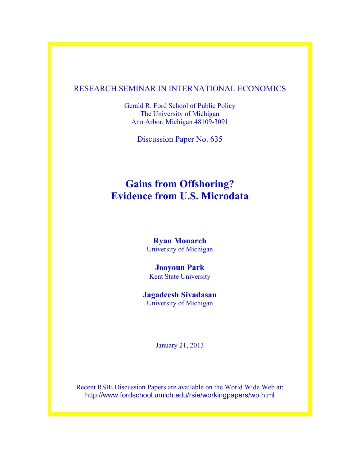### RESEARCH SEMINAR IN INTERNATIONAL ECONOMICS

Gerald R. Ford School of Public Policy The University of Michigan Ann Arbor, Michigan 48109-3091

Discussion Paper No. 635

# **Gains from Offshoring? Evidence from U.S. Microdata**

**Ryan Monarch** University of Michigan

### **Jooyoun Park** Kent State University

### **Jagadeesh Sivadasan** University of Michigan

January 21, 2013

Recent RSIE Discussion Papers are available on the World Wide Web at: http://www.fordschool.umich.edu/rsie/workingpapers/wp.html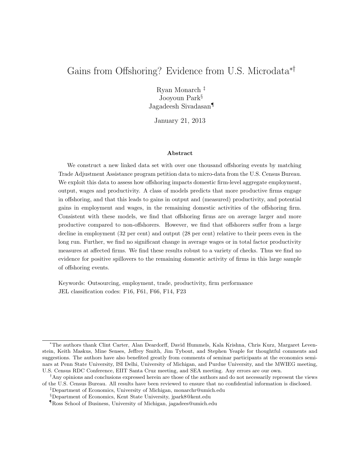## Gains from Offshoring? Evidence from U.S. Microdata∗†

Ryan Monarch ‡ Jooyoun Park§ Jagadeesh Sivadasan¶

January 21, 2013

#### Abstract

We construct a new linked data set with over one thousand offshoring events by matching Trade Adjustment Assistance program petition data to micro-data from the U.S. Census Bureau. We exploit this data to assess how offshoring impacts domestic firm-level aggregate employment, output, wages and productivity. A class of models predicts that more productive firms engage in offshoring, and that this leads to gains in output and (measured) productivity, and potential gains in employment and wages, in the remaining domestic activities of the offshoring firm. Consistent with these models, we find that offshoring firms are on average larger and more productive compared to non-offshorers. However, we find that offshorers suffer from a large decline in employment (32 per cent) and output (28 per cent) relative to their peers even in the long run. Further, we find no significant change in average wages or in total factor productivity measures at affected firms. We find these results robust to a variety of checks. Thus we find no evidence for positive spillovers to the remaining domestic activity of firms in this large sample of offshoring events.

Keywords: Outsourcing, employment, trade, productivity, firm performance JEL classification codes: F16, F61, F66, F14, F23

<sup>∗</sup>The authors thank Clint Carter, Alan Deardorff, David Hummels, Kala Krishna, Chris Kurz, Margaret Levenstein, Keith Maskus, Mine Senses, Jeffrey Smith, Jim Tybout, and Stephen Yeaple for thoughtful comments and suggestions. The authors have also benefited greatly from comments of seminar participants at the economics seminars at Penn State University, ISI Delhi, University of Michigan, and Purdue University, and the MWIEG meeting, U.S. Census RDC Conference, EIIT Santa Cruz meeting, and SEA meeting. Any errors are our own.

<sup>†</sup>Any opinions and conclusions expressed herein are those of the authors and do not necessarily represent the views of the U.S. Census Bureau. All results have been reviewed to ensure that no confidential information is disclosed.

<sup>‡</sup>Department of Economics, University of Michigan, monarchr@umich.edu

<sup>§</sup>Department of Economics, Kent State University, jpark8@kent.edu

<sup>¶</sup>Ross School of Business, University of Michigan, jagadees@umich.edu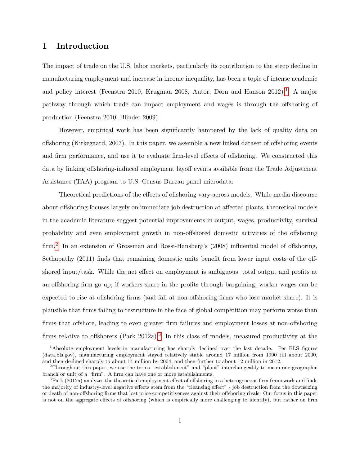### 1 Introduction

The impact of trade on the U.S. labor markets, particularly its contribution to the steep decline in manufacturing employment and increase in income inequality, has been a topic of intense academic and policy interest (Feenstra 20[1](#page-2-0)0, Krugman 2008, Autor, Dorn and Hanson 2012).<sup>1</sup> A major pathway through which trade can impact employment and wages is through the offshoring of production (Feenstra 2010, Blinder 2009).

However, empirical work has been significantly hampered by the lack of quality data on offshoring (Kirkegaard, 2007). In this paper, we assemble a new linked dataset of offshoring events and firm performance, and use it to evaluate firm-level effects of offshoring. We constructed this data by linking offshoring-induced employment layoff events available from the Trade Adjustment Assistance (TAA) program to U.S. Census Bureau panel microdata.

Theoretical predictions of the effects of offshoring vary across models. While media discourse about offshoring focuses largely on immediate job destruction at affected plants, theoretical models in the academic literature suggest potential improvements in output, wages, productivity, survival probability and even employment growth in non-offshored domestic activities of the offshoring firm.<sup>[2](#page-2-1)</sup> In an extension of Grossman and Rossi-Hansberg's (2008) influential model of offshoring, Sethupathy (2011) finds that remaining domestic units benefit from lower input costs of the offshored input/task. While the net effect on employment is ambiguous, total output and profits at an offshoring firm go up; if workers share in the profits through bargaining, worker wages can be expected to rise at offshoring firms (and fall at non-offshoring firms who lose market share). It is plausible that firms failing to restructure in the face of global competition may perform worse than firms that offshore, leading to even greater firm failures and employment losses at non-offshoring firms relative to offshorers (Park 2012a).<sup>[3](#page-2-2)</sup> In this class of models, measured productivity at the

<span id="page-2-0"></span><sup>1</sup>Absolute employment levels in manufacturing has sharply declined over the last decade. Per BLS figures (data.bls.gov), manufacturing employment stayed relatively stable around 17 million from 1990 till about 2000, and then declined sharply to about 14 million by 2004, and then further to about 12 million in 2012.

<span id="page-2-1"></span><sup>2</sup>Throughout this paper, we use the terms "establishment" and "plant" interchangeably to mean one geographic branch or unit of a "firm". A firm can have one or more establishments.

<span id="page-2-2"></span> $3$ Park (2012a) analyzes the theoretical employment effect of offshoring in a heterogeneous firm framework and finds the majority of industry-level negative effects stem from the "cleansing effect" - job destruction from the downsizing or death of non-offshoring firms that lost price competitiveness against their offshoring rivals. Our focus in this paper is not on the aggregate effects of offshoring (which is empirically more challenging to identify), but rather on firm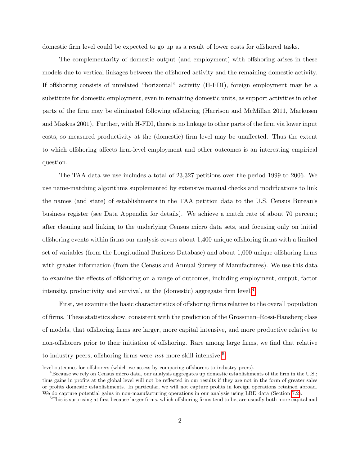domestic firm level could be expected to go up as a result of lower costs for offshored tasks.

The complementarity of domestic output (and employment) with offshoring arises in these models due to vertical linkages between the offshored activity and the remaining domestic activity. If offshoring consists of unrelated "horizontal" activity (H-FDI), foreign employment may be a substitute for domestic employment, even in remaining domestic units, as support activities in other parts of the firm may be eliminated following offshoring (Harrison and McMillan 2011, Markusen and Maskus 2001). Further, with H-FDI, there is no linkage to other parts of the firm via lower input costs, so measured productivity at the (domestic) firm level may be unaffected. Thus the extent to which offshoring affects firm-level employment and other outcomes is an interesting empirical question.

The TAA data we use includes a total of 23,327 petitions over the period 1999 to 2006. We use name-matching algorithms supplemented by extensive manual checks and modifications to link the names (and state) of establishments in the TAA petition data to the U.S. Census Bureau's business register (see Data Appendix for details). We achieve a match rate of about 70 percent; after cleaning and linking to the underlying Census micro data sets, and focusing only on initial offshoring events within firms our analysis covers about 1,400 unique offshoring firms with a limited set of variables (from the Longitudinal Business Database) and about 1,000 unique offshoring firms with greater information (from the Census and Annual Survey of Manufactures). We use this data to examine the effects of offshoring on a range of outcomes, including employment, output, factor intensity, productivity and survival, at the (domestic) aggregate firm level.<sup>[4](#page-3-0)</sup>

First, we examine the basic characteristics of offshoring firms relative to the overall population of firms. These statistics show, consistent with the prediction of the Grossman–Rossi-Hansberg class of models, that offshoring firms are larger, more capital intensive, and more productive relative to non-offshorers prior to their initiation of offshoring. Rare among large firms, we find that relative to industry peers, offshoring firms were *not* more skill intensive.<sup>[5](#page-3-1)</sup>

level outcomes for offshorers (which we assess by comparing offshorers to industry peers).

<span id="page-3-0"></span><sup>&</sup>lt;sup>4</sup>Because we rely on Census micro data, our analysis aggregates up domestic establishments of the firm in the U.S.; thus gains in profits at the global level will not be reflected in our results if they are not in the form of greater sales or profits domestic establishments. In particular, we will not capture profits in foreign operations retained abroad. We do capture potential gains in non-manufacturing operations in our analysis using LBD data (Section [7.2\)](#page-24-0).

<span id="page-3-1"></span><sup>&</sup>lt;sup>5</sup>This is surprising at first because larger firms, which offshoring firms tend to be, are usually both more capital and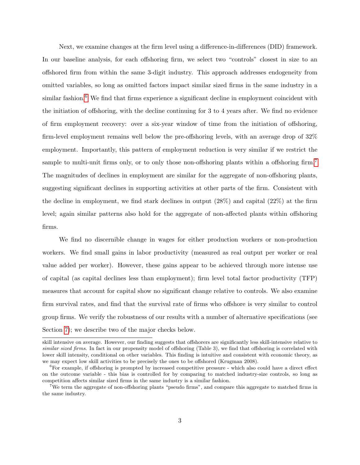Next, we examine changes at the firm level using a difference-in-differences (DID) framework. In our baseline analysis, for each offshoring firm, we select two "controls" closest in size to an offshored firm from within the same 3-digit industry. This approach addresses endogeneity from omitted variables, so long as omitted factors impact similar sized firms in the same industry in a similar fashion.<sup>[6](#page-4-0)</sup> We find that firms experience a significant decline in employment coincident with the initiation of offshoring, with the decline continuing for 3 to 4 years after. We find no evidence of firm employment recovery: over a six-year window of time from the initiation of offshoring, firm-level employment remains well below the pre-offshoring levels, with an average drop of 32% employment. Importantly, this pattern of employment reduction is very similar if we restrict the sample to multi-unit firms only, or to only those non-offshoring plants within a offshoring firm.<sup>[7](#page-4-1)</sup> The magnitudes of declines in employment are similar for the aggregate of non-offshoring plants, suggesting significant declines in supporting activities at other parts of the firm. Consistent with the decline in employment, we find stark declines in output  $(28\%)$  and capital  $(22\%)$  at the firm level; again similar patterns also hold for the aggregate of non-affected plants within offshoring firms.

We find no discernible change in wages for either production workers or non-production workers. We find small gains in labor productivity (measured as real output per worker or real value added per worker). However, these gains appear to be achieved through more intense use of capital (as capital declines less than employment); firm level total factor productivity (TFP) measures that account for capital show no significant change relative to controls. We also examine firm survival rates, and find that the survival rate of firms who offshore is very similar to control group firms. We verify the robustness of our results with a number of alternative specifications (see Section [7\)](#page-24-1); we describe two of the major checks below.

skill intensive on average. However, our finding suggests that offshorers are significantly less skill-intensive relative to similar sized firms. In fact in our propensity model of offshoring (Table 3), we find that offshoring is correlated with lower skill intensity, conditional on other variables. This finding is intuitive and consistent with economic theory, as we may expect low skill activities to be precisely the ones to be offshored (Krugman 2008).

<span id="page-4-0"></span> ${}^{6}$  For example, if offshoring is prompted by increased competitive pressure - which also could have a direct effect on the outcome variable - this bias is controlled for by comparing to matched industry-size controls, so long as competition affects similar sized firms in the same industry is a similar fashion.

<span id="page-4-1"></span><sup>7</sup>We term the aggregate of non-offshoring plants "pseudo firms", and compare this aggregate to matched firms in the same industry.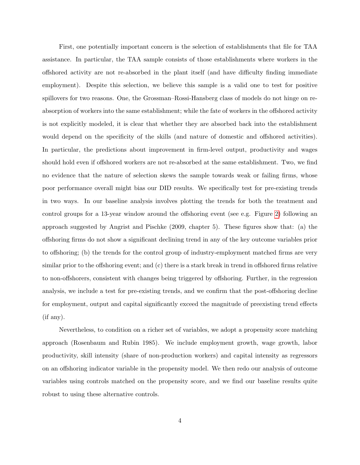First, one potentially important concern is the selection of establishments that file for TAA assistance. In particular, the TAA sample consists of those establishments where workers in the offshored activity are not re-absorbed in the plant itself (and have difficulty finding immediate employment). Despite this selection, we believe this sample is a valid one to test for positive spillovers for two reasons. One, the Grossman–Rossi-Hansberg class of models do not hinge on reabsorption of workers into the same establishment; while the fate of workers in the offshored activity is not explicitly modeled, it is clear that whether they are absorbed back into the establishment would depend on the specificity of the skills (and nature of domestic and offshored activities). In particular, the predictions about improvement in firm-level output, productivity and wages should hold even if offshored workers are not re-absorbed at the same establishment. Two, we find no evidence that the nature of selection skews the sample towards weak or failing firms, whose poor performance overall might bias our DID results. We specifically test for pre-existing trends in two ways. In our baseline analysis involves plotting the trends for both the treatment and control groups for a 13-year window around the offshoring event (see e.g. Figure [2\)](#page-46-0) following an approach suggested by Angrist and Pischke (2009, chapter 5). These figures show that: (a) the offshoring firms do not show a significant declining trend in any of the key outcome variables prior to offshoring; (b) the trends for the control group of industry-employment matched firms are very similar prior to the offshoring event; and (c) there is a stark break in trend in offshored firms relative to non-offshorers, consistent with changes being triggered by offshoring. Further, in the regression analysis, we include a test for pre-existing trends, and we confirm that the post-offshoring decline for employment, output and capital significantly exceed the magnitude of preexisting trend effects (if any).

Nevertheless, to condition on a richer set of variables, we adopt a propensity score matching approach (Rosenbaum and Rubin 1985). We include employment growth, wage growth, labor productivity, skill intensity (share of non-production workers) and capital intensity as regressors on an offshoring indicator variable in the propensity model. We then redo our analysis of outcome variables using controls matched on the propensity score, and we find our baseline results quite robust to using these alternative controls.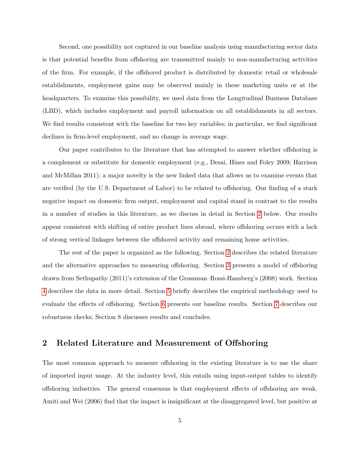Second, one possibility not captured in our baseline analysis using manufacturing sector data is that potential benefits from offshoring are transmitted mainly to non-manufacturing activities of the firm. For example, if the offshored product is distributed by domestic retail or wholesale establishments, employment gains may be observed mainly in these marketing units or at the headquarters. To examine this possibility, we used data from the Longitudinal Business Database (LBD), which includes employment and payroll information on all establishments in all sectors. We find results consistent with the baseline for two key variables; in particular, we find significant declines in firm-level employment, and no change in average wage.

Our paper contributes to the literature that has attempted to answer whether offshoring is a complement or substitute for domestic employment (e.g., Desai, Hines and Foley 2009; Harrison and McMillan 2011); a major novelty is the new linked data that allows us to examine events that are verified (by the U.S. Department of Labor) to be related to offshoring. Our finding of a stark negative impact on domestic firm output, employment and capital stand in contrast to the results in a number of studies in this literature, as we discuss in detail in Section [2](#page-6-0) below. Our results appear consistent with shifting of entire product lines abroad, where offshoring occurs with a lack of strong vertical linkages between the offshored activity and remaining home activities.

The rest of the paper is organized as the following. Section [2](#page-6-0) describes the related literature and the alternative approaches to measuring offshoring. Section [3](#page-9-0) presents a model of offshoring drawn from Sethupathy (2011)'s extension of the Grossman–Rossi-Hansberg's (2008) work. Section [4](#page-12-0) describes the data in more detail. Section [5](#page-15-0) briefly describes the empirical methodology used to evaluate the effects of offshoring. Section [6](#page-17-0) presents our baseline results. Section [7](#page-24-1) describes our robustness checks; Section 8 discusses results and concludes.

### <span id="page-6-0"></span>2 Related Literature and Measurement of Offshoring

The most common approach to measure offshoring in the existing literature is to use the share of imported input usage. At the industry level, this entails using input-output tables to identify offshoring industries. The general consensus is that employment effects of offshoring are weak. Amiti and Wei (2006) find that the impact is insignificant at the disaggregated level, but positive at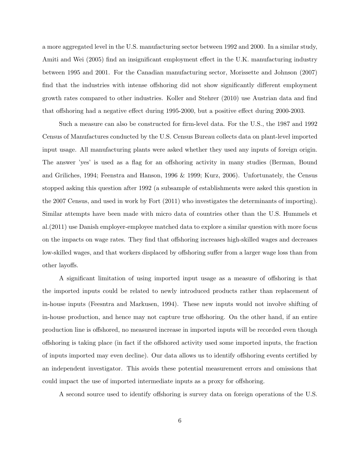a more aggregated level in the U.S. manufacturing sector between 1992 and 2000. In a similar study, Amiti and Wei (2005) find an insignificant employment effect in the U.K. manufacturing industry between 1995 and 2001. For the Canadian manufacturing sector, Morissette and Johnson (2007) find that the industries with intense offshoring did not show significantly different employment growth rates compared to other industries. Koller and Stehrer (2010) use Austrian data and find that offshoring had a negative effect during 1995-2000, but a positive effect during 2000-2003.

Such a measure can also be constructed for firm-level data. For the U.S., the 1987 and 1992 Census of Manufactures conducted by the U.S. Census Bureau collects data on plant-level imported input usage. All manufacturing plants were asked whether they used any inputs of foreign origin. The answer 'yes' is used as a flag for an offshoring activity in many studies (Berman, Bound and Griliches, 1994; Feenstra and Hanson, 1996 & 1999; Kurz, 2006). Unfortunately, the Census stopped asking this question after 1992 (a subsample of establishments were asked this question in the 2007 Census, and used in work by Fort (2011) who investigates the determinants of importing). Similar attempts have been made with micro data of countries other than the U.S. Hummels et al.(2011) use Danish employer-employee matched data to explore a similar question with more focus on the impacts on wage rates. They find that offshoring increases high-skilled wages and decreases low-skilled wages, and that workers displaced by offshoring suffer from a larger wage loss than from other layoffs.

A significant limitation of using imported input usage as a measure of offshoring is that the imported inputs could be related to newly introduced products rather than replacement of in-house inputs (Feesntra and Markusen, 1994). These new inputs would not involve shifting of in-house production, and hence may not capture true offshoring. On the other hand, if an entire production line is offshored, no measured increase in imported inputs will be recorded even though offshoring is taking place (in fact if the offshored activity used some imported inputs, the fraction of inputs imported may even decline). Our data allows us to identify offshoring events certified by an independent investigator. This avoids these potential measurement errors and omissions that could impact the use of imported intermediate inputs as a proxy for offshoring.

A second source used to identify offshoring is survey data on foreign operations of the U.S.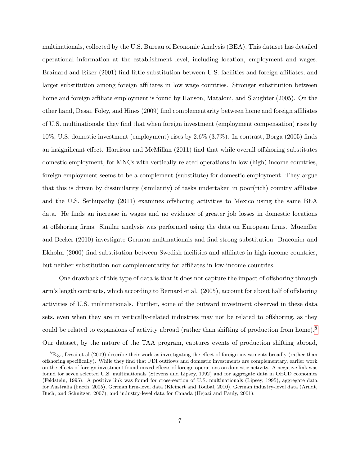multinationals, collected by the U.S. Bureau of Economic Analysis (BEA). This dataset has detailed operational information at the establishment level, including location, employment and wages. Brainard and Riker (2001) find little substitution between U.S. facilities and foreign affiliates, and larger substitution among foreign affiliates in low wage countries. Stronger substitution between home and foreign affiliate employment is found by Hanson, Mataloni, and Slaughter (2005). On the other hand, Desai, Foley, and Hines (2009) find complementarity between home and foreign affiliates of U.S. multinationals; they find that when foreign investment (employment compensation) rises by 10%, U.S. domestic investment (employment) rises by 2.6% (3.7%). In contrast, Borga (2005) finds an insignificant effect. Harrison and McMillan (2011) find that while overall offshoring substitutes domestic employment, for MNCs with vertically-related operations in low (high) income countries, foreign employment seems to be a complement (substitute) for domestic employment. They argue that this is driven by dissimilarity (similarity) of tasks undertaken in poor(rich) country affiliates and the U.S. Sethupathy (2011) examines offshoring activities to Mexico using the same BEA data. He finds an increase in wages and no evidence of greater job losses in domestic locations at offshoring firms. Similar analysis was performed using the data on European firms. Muendler and Becker (2010) investigate German multinationals and find strong substitution. Braconier and Ekholm (2000) find substitution between Swedish facilities and affiliates in high-income countries, but neither substitution nor complementarity for affiliates in low-income countries.

One drawback of this type of data is that it does not capture the impact of offshoring through arm's length contracts, which according to Bernard et al. (2005), account for about half of offshoring activities of U.S. multinationals. Further, some of the outward investment observed in these data sets, even when they are in vertically-related industries may not be related to offshoring, as they could be related to expansions of activity abroad (rather than shifting of production from home).<sup>[8](#page-8-0)</sup> Our dataset, by the nature of the TAA program, captures events of production shifting abroad,

<span id="page-8-0"></span> ${}^{8}E.g.,$  Desai et al (2009) describe their work as investigating the effect of foreign investments broadly (rather than offshoring specifically). While they find that FDI outflows and domestic investments are complementary, earlier work on the effects of foreign investment found mixed effects of foreign operations on domestic activity. A negative link was found for seven selected U.S. multinationals (Stevens and Lipsey, 1992) and for aggregate data in OECD economies (Feldstein, 1995). A positive link was found for cross-section of U.S. multinationals (Lipsey, 1995), aggregate data for Australia (Faeth, 2005), German firm-level data (Kleinert and Toubal, 2010), German industry-level data (Arndt, Buch, and Schnitzer, 2007), and industry-level data for Canada (Hejazi and Pauly, 2001).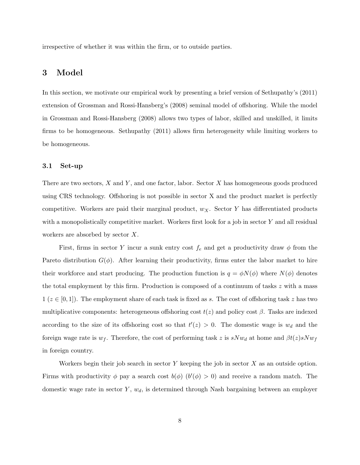irrespective of whether it was within the firm, or to outside parties.

### <span id="page-9-0"></span>3 Model

In this section, we motivate our empirical work by presenting a brief version of Sethupathy's (2011) extension of Grossman and Rossi-Hansberg's (2008) seminal model of offshoring. While the model in Grossman and Rossi-Hansberg (2008) allows two types of labor, skilled and unskilled, it limits firms to be homogeneous. Sethupathy (2011) allows firm heterogeneity while limiting workers to be homogeneous.

#### 3.1 Set-up

There are two sectors,  $X$  and  $Y$ , and one factor, labor. Sector  $X$  has homogeneous goods produced using CRS technology. Offshoring is not possible in sector X and the product market is perfectly competitive. Workers are paid their marginal product,  $w_X$ . Sector Y has differentiated products with a monopolistically competitive market. Workers first look for a job in sector Y and all residual workers are absorbed by sector X.

First, firms in sector Y incur a sunk entry cost  $f_e$  and get a productivity draw  $\phi$  from the Pareto distribution  $G(\phi)$ . After learning their productivity, firms enter the labor market to hire their workforce and start producing. The production function is  $q = \phi N(\phi)$  where  $N(\phi)$  denotes the total employment by this firm. Production is composed of a continuum of tasks  $z$  with a mass  $1 (z \in [0, 1])$ . The employment share of each task is fixed as s. The cost of offshoring task z has two multiplicative components: heterogeneous offshoring cost  $t(z)$  and policy cost  $\beta$ . Tasks are indexed according to the size of its offshoring cost so that  $t'(z) > 0$ . The domestic wage is  $w_d$  and the foreign wage rate is  $w_f$ . Therefore, the cost of performing task z is  $sNw_d$  at home and  $\beta t(z)sNw_f$ in foreign country.

Workers begin their job search in sector  $Y$  keeping the job in sector  $X$  as an outside option. Firms with productivity  $\phi$  pay a search cost  $b(\phi)$   $(b'(\phi) > 0)$  and receive a random match. The domestic wage rate in sector  $Y, w_d$ , is determined through Nash bargaining between an employer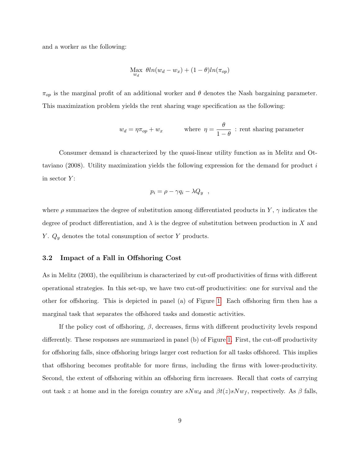and a worker as the following:

$$
\operatorname*{Max}_{w_d} \theta ln(w_d - w_x) + (1 - \theta) ln(\pi_{op})
$$

 $\pi_{op}$  is the marginal profit of an additional worker and  $\theta$  denotes the Nash bargaining parameter. This maximization problem yields the rent sharing wage specification as the following:

$$
w_d = \eta \pi_{op} + w_x
$$
 where  $\eta = \frac{\theta}{1 - \theta}$ : rent sharing parameter

Consumer demand is characterized by the quasi-linear utility function as in Melitz and Ottaviano (2008). Utility maximization yields the following expression for the demand for product i in sector  $Y$ :

$$
p_i = \rho - \gamma q_i - \lambda Q_y \quad ,
$$

where  $\rho$  summarizes the degree of substitution among differentiated products in Y,  $\gamma$  indicates the degree of product differentiation, and  $\lambda$  is the degree of substitution between production in X and Y.  $Q_y$  denotes the total consumption of sector Y products.

#### 3.2 Impact of a Fall in Offshoring Cost

As in Melitz (2003), the equilibrium is characterized by cut-off productivities of firms with different operational strategies. In this set-up, we have two cut-off productivities: one for survival and the other for offshoring. This is depicted in panel (a) of Figure [1.](#page-45-0) Each offshoring firm then has a marginal task that separates the offshored tasks and domestic activities.

If the policy cost of offshoring,  $\beta$ , decreases, firms with different productivity levels respond differently. These responses are summarized in panel (b) of Figure [1.](#page-45-0) First, the cut-off productivity for offshoring falls, since offshoring brings larger cost reduction for all tasks offshored. This implies that offshoring becomes profitable for more firms, including the firms with lower-productivity. Second, the extent of offshoring within an offshoring firm increases. Recall that costs of carrying out task z at home and in the foreign country are  $sNw_d$  and  $\beta t(z)sNw_f$ , respectively. As  $\beta$  falls,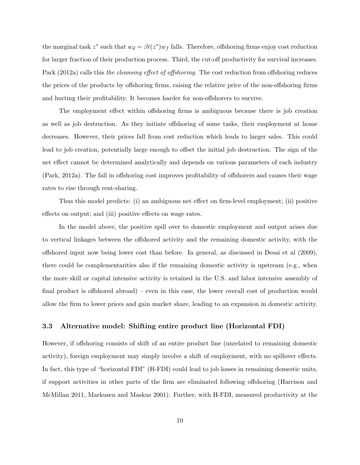the marginal task  $z^*$  such that  $w_d = \beta t(z^*) w_f$  falls. Therefore, offshoring firms enjoy cost reduction for larger fraction of their production process. Third, the cut-off productivity for survival increases. Park (2012a) calls this the cleansing effect of offshoring. The cost reduction from offshoring reduces the prices of the products by offshoring firms, raising the relative price of the non-offshoring firms and hurting their profitability. It becomes harder for non-offshorers to survive.

The employment effect within offshoring firms is ambiguous because there is job creation as well as job destruction. As they initiate offshoring of some tasks, their employment at home decreases. However, their prices fall from cost reduction which leads to larger sales. This could lead to job creation, potentially large enough to offset the initial job destruction. The sign of the net effect cannot be determined analytically and depends on various parameters of each industry (Park, 2012a). The fall in offshoring cost improves profitability of offshorers and causes their wage rates to rise through rent-sharing.

Thus this model predicts: (i) an ambiguous net effect on firm-level employment; (ii) positive effects on output; and (iii) positive effects on wage rates.

In the model above, the positive spill over to domestic employment and output arises due to vertical linkages between the offshored activity and the remaining domestic activity, with the offshored input now being lower cost than before. In general, as discussed in Desai et al (2009), there could be complementarities also if the remaining domestic activity is upstream (e.g., when the more skill or capital intensive activity is retained in the U.S. and labor intensive assembly of final product is offshored abroad) – even in this case, the lower overall cost of production would allow the firm to lower prices and gain market share, leading to an expansion in domestic activity.

#### <span id="page-11-0"></span>3.3 Alternative model: Shifting entire product line (Horizontal FDI)

However, if offshoring consists of shift of an entire product line (unrelated to remaining domestic activity), foreign employment may simply involve a shift of employment, with no spillover effects. In fact, this type of "horizontal FDI" (H-FDI) could lead to job losses in remaining domestic units, if support activities in other parts of the firm are eliminated following offshoring (Harrison and McMillan 2011, Markusen and Maskus 2001). Further, with H-FDI, measured productivity at the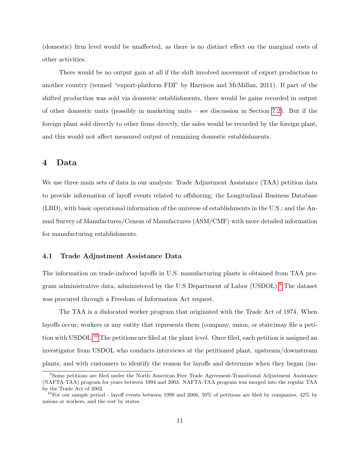(domestic) firm level would be unaffected, as there is no distinct effect on the marginal costs of other activities.

There would be no output gain at all if the shift involved movement of export production to another country (termed "export-platform FDI" by Harrison and McMillan, 2011). If part of the shifted production was sold via domestic establishments, there would be gains recorded in output of other domestic units (possibly in marketing units – see discussion in Section [7.2\)](#page-24-0). But if the foreign plant sold directly to other firms directly, the sales would be recorded by the foreign plant, and this would not affect measured output of remaining domestic establishments.

### <span id="page-12-0"></span>4 Data

We use three main sets of data in our analysis: Trade Adjustment Assistance (TAA) petition data to provide information of layoff events related to offshoring; the Longitudinal Business Database (LBD), with basic operational information of the universe of establishments in the U.S.; and the Annual Survey of Manufactures/Census of Manufactures (ASM/CMF) with more detailed information for manufacturing establishments.

#### 4.1 Trade Adjustment Assistance Data

The information on trade-induced layoffs in U.S. manufacturing plants is obtained from TAA program administrative data, administered by the U.S Department of Labor (USDOL).[9](#page-12-1) The dataset was procured through a Freedom of Information Act request.

The TAA is a dislocated worker program that originated with the Trade Act of 1974. When layoffs occur, workers or any entity that represents them (company, union, or state)may file a petition with USDOL.[10](#page-12-2) The petitions are filed at the plant level. Once filed, each petition is assigned an investigator from USDOL who conducts interviews at the petitioned plant, upstream/downstream plants, and with customers to identify the reason for layoffs and determine when they began (im-

<span id="page-12-1"></span><sup>&</sup>lt;sup>9</sup>Some petitions are filed under the North American Free Trade Agreement-Transitional Adjustment Assistance (NAFTA-TAA) program for years between 1994 and 2003. NAFTA-TAA program was merged into the regular TAA by the Trade Act of 2002.

<span id="page-12-2"></span><sup>&</sup>lt;sup>10</sup>For our sample period - layoff events between 1999 and 2006, 50% of petitions are filed by companies, 42% by unions or workers, and the rest by states.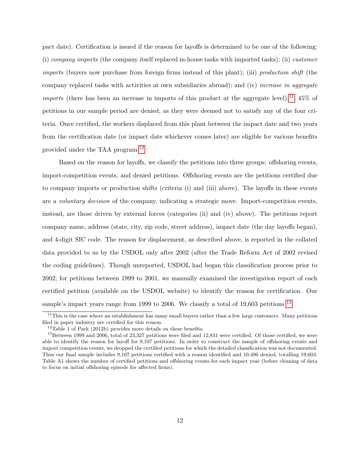pact date). Certification is issued if the reason for layoffs is determined to be one of the following: (i) company imports (the company itself replaced in-house tasks with imported tasks); (ii) customer imports (buyers now purchase from foreign firms instead of this plant); (iii) production shift (the company replaced tasks with activities at own subsidiaries abroad); and (iv) increase in aggregate *imports* (there has been an increase in imports of this product at the aggregate level).<sup>[11](#page-13-0)</sup> 45% of petitions in our sample period are denied, as they were deemed not to satisfy any of the four criteria. Once certified, the workers displaced from this plant between the impact date and two years from the certification date (or impact date whichever comes later) are eligible for various benefits provided under the TAA program.[12](#page-13-1)

Based on the reason for layoffs, we classify the petitions into three groups: offshoring events, import-competition events, and denied petitions. Offshoring events are the petitions certified due to company imports or production shifts (criteria (i) and (iii) above). The layoffs in these events are a voluntary decision of the company, indicating a strategic move. Import-competition events, instead, are those driven by external forces (categories (ii) and (iv) above). The petitions report company name, address (state, city, zip code, street address), impact date (the day layoffs began), and 4-digit SIC code. The reason for displacement, as described above, is reported in the collated data provided to us by the USDOL only after 2002 (after the Trade Reform Act of 2002 revised the coding guidelines). Though unreported, USDOL had began this classification process prior to 2002; for petitions between 1999 to 2001, we manually examined the investigation report of each certified petition (available on the USDOL website) to identify the reason for certification. Our sample's impact years range from 1999 to 2006. We classify a total of 19,603 petitions <sup>[13](#page-13-2)</sup>

<span id="page-13-0"></span> $11$ This is the case where an establishment has many small buyers rather than a few large customers. Many petitions filed in paper industry are certified for this reason.

<span id="page-13-2"></span><span id="page-13-1"></span> $12$ Table 1 of Park (2012b) provides more details on these benefits.

<sup>&</sup>lt;sup>13</sup>Between 1999 and 2006, total of 23,327 petitions were filed and 12,831 were certified. Of those certified, we were able to identify the reason for layoff for 9,107 petitions. In order to construct the sample of offshoring events and import competition events, we dropped the certified petitions for which the detailed classification was not documented. Thus our final sample includes 9,107 petitions certified with a reason identified and 10,496 denied, totalling 19,603. Table A1 shows the number of certified petitions and offshoring events for each impact year (before cleaning of data to focus on initial offshoring episode for affected firms).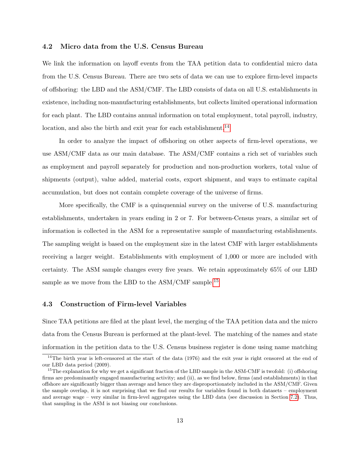#### 4.2 Micro data from the U.S. Census Bureau

We link the information on layoff events from the TAA petition data to confidential micro data from the U.S. Census Bureau. There are two sets of data we can use to explore firm-level impacts of offshoring: the LBD and the ASM/CMF. The LBD consists of data on all U.S. establishments in existence, including non-manufacturing establishments, but collects limited operational information for each plant. The LBD contains annual information on total employment, total payroll, industry, location, and also the birth and exit year for each establishment.<sup>[14](#page-14-0)</sup>

In order to analyze the impact of offshoring on other aspects of firm-level operations, we use ASM/CMF data as our main database. The ASM/CMF contains a rich set of variables such as employment and payroll separately for production and non-production workers, total value of shipments (output), value added, material costs, export shipment, and ways to estimate capital accumulation, but does not contain complete coverage of the universe of firms.

More specifically, the CMF is a quinquennial survey on the universe of U.S. manufacturing establishments, undertaken in years ending in 2 or 7. For between-Census years, a similar set of information is collected in the ASM for a representative sample of manufacturing establishments. The sampling weight is based on the employment size in the latest CMF with larger establishments receiving a larger weight. Establishments with employment of 1,000 or more are included with certainty. The ASM sample changes every five years. We retain approximately 65% of our LBD sample as we move from the LBD to the  $\text{ASM}/\text{CMF}$  sample.<sup>[15](#page-14-1)</sup>

#### 4.3 Construction of Firm-level Variables

Since TAA petitions are filed at the plant level, the merging of the TAA petition data and the micro data from the Census Bureau is performed at the plant-level. The matching of the names and state information in the petition data to the U.S. Census business register is done using name matching

<span id="page-14-0"></span> $14$ The birth year is left-censored at the start of the data (1976) and the exit year is right censored at the end of our LBD data period (2009).

<span id="page-14-1"></span> $15$ The explanation for why we get a significant fraction of the LBD sample in the ASM-CMF is twofold: (i) offshoring firms are predominantly engaged manufacturing activity; and (ii), as we find below, firms (and establishments) in that offshore are significantly bigger than average and hence they are disproportionately included in the ASM/CMF. Given the sample overlap, it is not surprising that we find our results for variables found in both datasets – employment and average wage – very similar in firm-level aggregates using the LBD data (see discussion in Section [7.2\)](#page-24-0). Thus, that sampling in the ASM is not biasing our conclusions.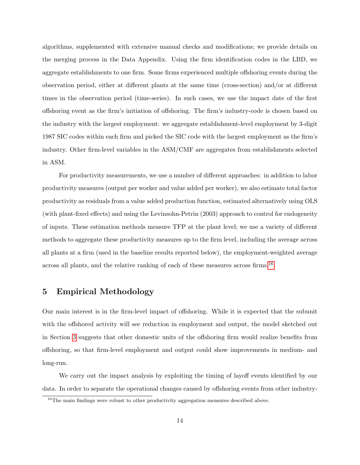algorithms, supplemented with extensive manual checks and modifications; we provide details on the merging process in the Data Appendix. Using the firm identification codes in the LBD, we aggregate establishments to one firm. Some firms experienced multiple offshoring events during the observation period, either at different plants at the same time (cross-section) and/or at different times in the observation period (time-series). In such cases, we use the impact date of the first offshoring event as the firm's initiation of offshoring. The firm's industry-code is chosen based on the industry with the largest employment: we aggregate establishment-level employment by 3-digit 1987 SIC codes within each firm and picked the SIC code with the largest employment as the firm's industry. Other firm-level variables in the ASM/CMF are aggregates from establishments selected in ASM.

For productivity measurements, we use a number of different approaches: in addition to labor productivity measures (output per worker and value added per worker), we also estimate total factor productivity as residuals from a value added production function, estimated alternatively using OLS (with plant-fixed effects) and using the Levinsohn-Petrin (2003) approach to control for endogeneity of inputs. These estimation methods measure TFP at the plant level; we use a variety of different methods to aggregate these productivity measures up to the firm level, including the average across all plants at a firm (used in the baseline results reported below), the employment-weighted average across all plants, and the relative ranking of each of these measures across firms.[16](#page-15-1)

### <span id="page-15-0"></span>5 Empirical Methodology

Our main interest is in the firm-level impact of offshoring. While it is expected that the subunit with the offshored activity will see reduction in employment and output, the model sketched out in Section [3](#page-9-0) suggests that other domestic units of the offshoring firm would realize benefits from offshoring, so that firm-level employment and output could show improvements in medium- and long-run.

We carry out the impact analysis by exploiting the timing of layoff events identified by our data. In order to separate the operational changes caused by offshoring events from other industry-

<span id="page-15-1"></span> $^{16}$ The main findings were robust to other productivity aggregation measures described above.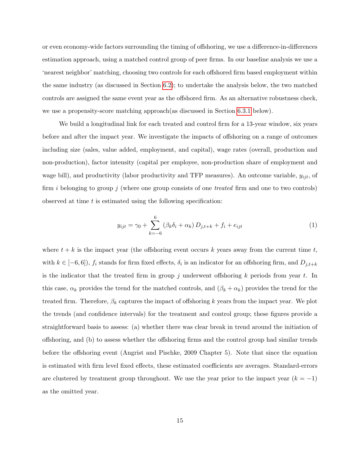or even economy-wide factors surrounding the timing of offshoring, we use a difference-in-differences estimation approach, using a matched control group of peer firms. In our baseline analysis we use a 'nearest neighbor' matching, choosing two controls for each offshored firm based employment within the same industry (as discussed in Section [6.2\)](#page-18-0); to undertake the analysis below, the two matched controls are assigned the same event year as the offshored firm. As an alternative robustness check, we use a propensity-score matching approach(as discussed in Section [6.3.1](#page-22-0) below).

We build a longitudinal link for each treated and control firm for a 13-year window, six years before and after the impact year. We investigate the impacts of offshoring on a range of outcomes including size (sales, value added, employment, and capital), wage rates (overall, production and non-production), factor intensity (capital per employee, non-production share of employment and wage bill), and productivity (labor productivity and TFP measures). An outcome variable,  $y_{ijt}$ , of firm i belonging to group j (where one group consists of one treated firm and one to two controls) observed at time  $t$  is estimated using the following specification:

<span id="page-16-0"></span>
$$
y_{ijt} = \gamma_0 + \sum_{k=-6}^{6} (\beta_k \delta_i + \alpha_k) D_{j,t+k} + f_i + e_{ijt}
$$
 (1)

where  $t + k$  is the impact year (the offshoring event occurs k years away from the current time t, with  $k \in [-6,6]$ ,  $f_i$  stands for firm fixed effects,  $\delta_i$  is an indicator for an offshoring firm, and  $D_{j,t+k}$ is the indicator that the treated firm in group j underwent offshoring  $k$  periods from year  $t$ . In this case,  $\alpha_k$  provides the trend for the matched controls, and  $(\beta_k + \alpha_k)$  provides the trend for the treated firm. Therefore,  $\beta_k$  captures the impact of offshoring k years from the impact year. We plot the trends (and confidence intervals) for the treatment and control group; these figures provide a straightforward basis to assess: (a) whether there was clear break in trend around the initiation of offshoring, and (b) to assess whether the offshoring firms and the control group had similar trends before the offshoring event (Angrist and Pischke, 2009 Chapter 5). Note that since the equation is estimated with firm level fixed effects, these estimated coefficients are averages. Standard-errors are clustered by treatment group throughout. We use the year prior to the impact year  $(k = -1)$ as the omitted year.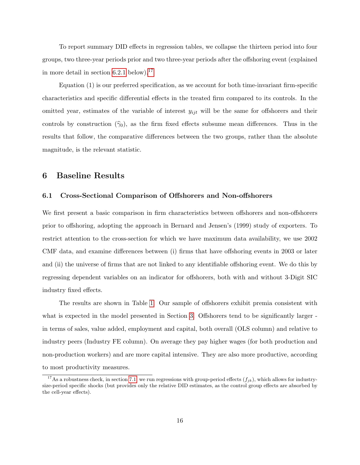To report summary DID effects in regression tables, we collapse the thirteen period into four groups, two three-year periods prior and two three-year periods after the offshoring event (explained in more detail in section  $6.2.1$  below).<sup>[17](#page-17-1)</sup>

Equation (1) is our preferred specification, as we account for both time-invariant firm-specific characteristics and specific differential effects in the treated firm compared to its controls. In the omitted year, estimates of the variable of interest  $y_{ijt}$  will be the same for offshorers and their controls by construction  $(\hat{\gamma}_0)$ , as the firm fixed effects subsume mean differences. Thus in the results that follow, the comparative differences between the two groups, rather than the absolute magnitude, is the relevant statistic.

### <span id="page-17-0"></span>6 Baseline Results

#### 6.1 Cross-Sectional Comparison of Offshorers and Non-offshorers

We first present a basic comparison in firm characteristics between offshorers and non-offshorers prior to offshoring, adopting the approach in Bernard and Jensen's (1999) study of exporters. To restrict attention to the cross-section for which we have maximum data availability, we use 2002 CMF data, and examine differences between (i) firms that have offshoring events in 2003 or later and (ii) the universe of firms that are not linked to any identifiable offshoring event. We do this by regressing dependent variables on an indicator for offshorers, both with and without 3-Digit SIC industry fixed effects.

The results are shown in Table [1.](#page-37-0) Our sample of offshorers exhibit premia consistent with what is expected in the model presented in Section [3.](#page-9-0) Offshorers tend to be significantly larger in terms of sales, value added, employment and capital, both overall (OLS column) and relative to industry peers (Industry FE column). On average they pay higher wages (for both production and non-production workers) and are more capital intensive. They are also more productive, according to most productivity measures.

<span id="page-17-1"></span><sup>&</sup>lt;sup>17</sup>As a robustness check, in section [7.1,](#page-24-2) we run regressions with group-period effects  $(f_{jk})$ , which allows for industrysize-period specific shocks (but provides only the relative DID estimates, as the control group effects are absorbed by the cell-year effects).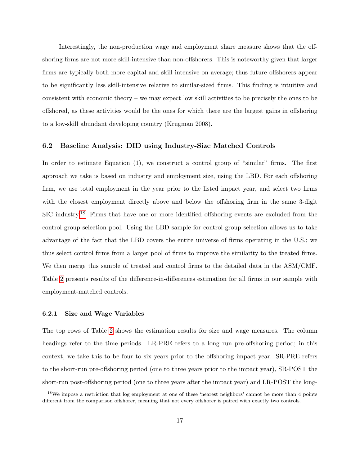Interestingly, the non-production wage and employment share measure shows that the offshoring firms are not more skill-intensive than non-offshorers. This is noteworthy given that larger firms are typically both more capital and skill intensive on average; thus future offshorers appear to be significantly less skill-intensive relative to similar-sized firms. This finding is intuitive and consistent with economic theory – we may expect low skill activities to be precisely the ones to be offshored, as these activities would be the ones for which there are the largest gains in offshoring to a low-skill abundant developing country (Krugman 2008).

#### <span id="page-18-0"></span>6.2 Baseline Analysis: DID using Industry-Size Matched Controls

In order to estimate Equation (1), we construct a control group of "similar" firms. The first approach we take is based on industry and employment size, using the LBD. For each offshoring firm, we use total employment in the year prior to the listed impact year, and select two firms with the closest employment directly above and below the offshoring firm in the same 3-digit SIC industry.[18](#page-18-2) Firms that have one or more identified offshoring events are excluded from the control group selection pool. Using the LBD sample for control group selection allows us to take advantage of the fact that the LBD covers the entire universe of firms operating in the U.S.; we thus select control firms from a larger pool of firms to improve the similarity to the treated firms. We then merge this sample of treated and control firms to the detailed data in the ASM/CMF. Table [2](#page-38-0) presents results of the difference-in-differences estimation for all firms in our sample with employment-matched controls.

#### <span id="page-18-1"></span>6.2.1 Size and Wage Variables

The top rows of Table [2](#page-38-0) shows the estimation results for size and wage measures. The column headings refer to the time periods. LR-PRE refers to a long run pre-offshoring period; in this context, we take this to be four to six years prior to the offshoring impact year. SR-PRE refers to the short-run pre-offshoring period (one to three years prior to the impact year), SR-POST the short-run post-offshoring period (one to three years after the impact year) and LR-POST the long-

<span id="page-18-2"></span><sup>&</sup>lt;sup>18</sup>We impose a restriction that log employment at one of these 'nearest neighbors' cannot be more than 4 points different from the comparison offshorer, meaning that not every offshorer is paired with exactly two controls.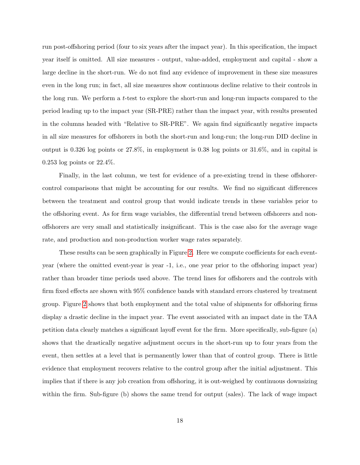run post-offshoring period (four to six years after the impact year). In this specification, the impact year itself is omitted. All size measures - output, value-added, employment and capital - show a large decline in the short-run. We do not find any evidence of improvement in these size measures even in the long run; in fact, all size measures show continuous decline relative to their controls in the long run. We perform a t-test to explore the short-run and long-run impacts compared to the period leading up to the impact year (SR-PRE) rather than the impact year, with results presented in the columns headed with "Relative to SR-PRE". We again find significantly negative impacts in all size measures for offshorers in both the short-run and long-run; the long-run DID decline in output is 0.326 log points or 27.8%, in employment is 0.38 log points or 31.6%, and in capital is 0.253 log points or 22.4%.

Finally, in the last column, we test for evidence of a pre-existing trend in these offshorercontrol comparisons that might be accounting for our results. We find no significant differences between the treatment and control group that would indicate trends in these variables prior to the offshoring event. As for firm wage variables, the differential trend between offshorers and nonoffshorers are very small and statistically insignificant. This is the case also for the average wage rate, and production and non-production worker wage rates separately.

These results can be seen graphically in Figure [2.](#page-46-0) Here we compute coefficients for each eventyear (where the omitted event-year is year -1, i.e., one year prior to the offshoring impact year) rather than broader time periods used above. The trend lines for offshorers and the controls with firm fixed effects are shown with 95% confidence bands with standard errors clustered by treatment group. Figure [2](#page-46-0) shows that both employment and the total value of shipments for offshoring firms display a drastic decline in the impact year. The event associated with an impact date in the TAA petition data clearly matches a significant layoff event for the firm. More specifically, sub-figure (a) shows that the drastically negative adjustment occurs in the short-run up to four years from the event, then settles at a level that is permanently lower than that of control group. There is little evidence that employment recovers relative to the control group after the initial adjustment. This implies that if there is any job creation from offshoring, it is out-weighed by continuous downsizing within the firm. Sub-figure (b) shows the same trend for output (sales). The lack of wage impact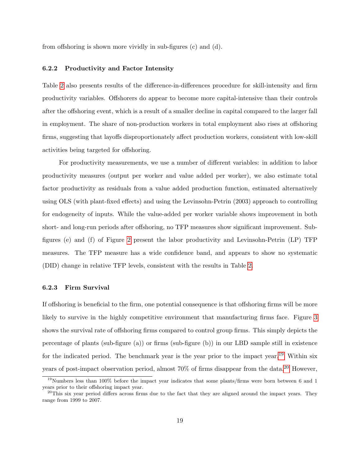from offshoring is shown more vividly in sub-figures (c) and (d).

#### 6.2.2 Productivity and Factor Intensity

Table [2](#page-38-0) also presents results of the difference-in-differences procedure for skill-intensity and firm productivity variables. Offshorers do appear to become more capital-intensive than their controls after the offshoring event, which is a result of a smaller decline in capital compared to the larger fall in employment. The share of non-production workers in total employment also rises at offshoring firms, suggesting that layoffs disproportionately affect production workers, consistent with low-skill activities being targeted for offshoring.

For productivity measurements, we use a number of different variables: in addition to labor productivity measures (output per worker and value added per worker), we also estimate total factor productivity as residuals from a value added production function, estimated alternatively using OLS (with plant-fixed effects) and using the Levinsohn-Petrin (2003) approach to controlling for endogeneity of inputs. While the value-added per worker variable shows improvement in both short- and long-run periods after offshoring, no TFP measures show significant improvement. Subfigures (e) and (f) of Figure [2](#page-46-0) present the labor productivity and Levinsohn-Petrin (LP) TFP measures. The TFP measure has a wide confidence band, and appears to show no systematic (DID) change in relative TFP levels, consistent with the results in Table [2.](#page-38-0)

#### 6.2.3 Firm Survival

If offshoring is beneficial to the firm, one potential consequence is that offshoring firms will be more likely to survive in the highly competitive environment that manufacturing firms face. Figure [3](#page-47-0) shows the survival rate of offshoring firms compared to control group firms. This simply depicts the percentage of plants (sub-figure (a)) or firms (sub-figure (b)) in our LBD sample still in existence for the indicated period. The benchmark year is the year prior to the impact year.<sup>[19](#page-20-0)</sup> Within six years of post-impact observation period, almost  $70\%$  of firms disappear from the data.<sup>[20](#page-20-1)</sup> However,

<span id="page-20-0"></span><sup>19</sup>Numbers less than 100% before the impact year indicates that some plants/firms were born between 6 and 1 years prior to their offshoring impact year.

<span id="page-20-1"></span> $^{20}$ This six year period differs across firms due to the fact that they are aligned around the impact years. They range from 1999 to 2007.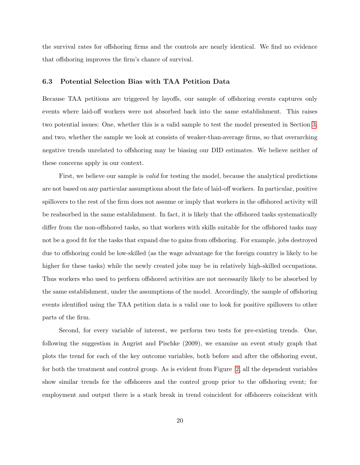the survival rates for offshoring firms and the controls are nearly identical. We find no evidence that offshoring improves the firm's chance of survival.

#### <span id="page-21-0"></span>6.3 Potential Selection Bias with TAA Petition Data

Because TAA petitions are triggered by layoffs, our sample of offshoring events captures only events where laid-off workers were not absorbed back into the same establishment. This raises two potential issues: One, whether this is a valid sample to test the model presented in Section [3,](#page-9-0) and two, whether the sample we look at consists of weaker-than-average firms, so that overarching negative trends unrelated to offshoring may be biasing our DID estimates. We believe neither of these concerns apply in our context.

First, we believe our sample is *valid* for testing the model, because the analytical predictions are not based on any particular assumptions about the fate of laid-off workers. In particular, positive spillovers to the rest of the firm does not assume or imply that workers in the offshored activity will be reabsorbed in the same establishment. In fact, it is likely that the offshored tasks systematically differ from the non-offshored tasks, so that workers with skills suitable for the offshored tasks may not be a good fit for the tasks that expand due to gains from offshoring. For example, jobs destroyed due to offshoring could be low-skilled (as the wage advantage for the foreign country is likely to be higher for these tasks) while the newly created jobs may be in relatively high-skilled occupations. Thus workers who used to perform offshored activities are not necessarily likely to be absorbed by the same establishment, under the assumptions of the model. Accordingly, the sample of offshoring events identified using the TAA petition data is a valid one to look for positive spillovers to other parts of the firm.

Second, for every variable of interest, we perform two tests for pre-existing trends. One, following the suggestion in Angrist and Pischke (2009), we examine an event study graph that plots the trend for each of the key outcome variables, both before and after the offshoring event, for both the treatment and control group. As is evident from Figure [2,](#page-46-0) all the dependent variables show similar trends for the offshorers and the control group prior to the offshoring event; for employment and output there is a stark break in trend coincident for offshorers coincident with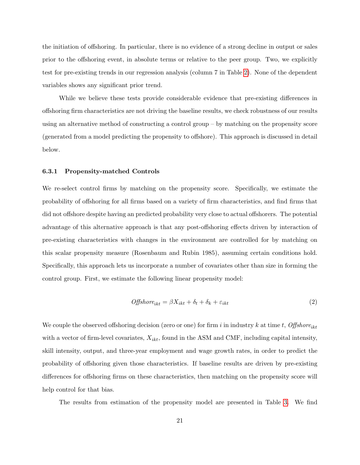the initiation of offshoring. In particular, there is no evidence of a strong decline in output or sales prior to the offshoring event, in absolute terms or relative to the peer group. Two, we explicitly test for pre-existing trends in our regression analysis (column 7 in Table [2\)](#page-38-0). None of the dependent variables shows any significant prior trend.

While we believe these tests provide considerable evidence that pre-existing differences in offshoring firm characteristics are not driving the baseline results, we check robustness of our results using an alternative method of constructing a control group – by matching on the propensity score (generated from a model predicting the propensity to offshore). This approach is discussed in detail below.

#### <span id="page-22-0"></span>6.3.1 Propensity-matched Controls

We re-select control firms by matching on the propensity score. Specifically, we estimate the probability of offshoring for all firms based on a variety of firm characteristics, and find firms that did not offshore despite having an predicted probability very close to actual offshorers. The potential advantage of this alternative approach is that any post-offshoring effects driven by interaction of pre-existing characteristics with changes in the environment are controlled for by matching on this scalar propensity measure (Rosenbaum and Rubin 1985), assuming certain conditions hold. Specifically, this approach lets us incorporate a number of covariates other than size in forming the control group. First, we estimate the following linear propensity model:

$$
Offshore_{ikt} = \beta X_{ikt} + \delta_t + \delta_k + \varepsilon_{ikt}
$$
\n<sup>(2)</sup>

We couple the observed offshoring decision (zero or one) for firm i in industry k at time t, Offshore<sub>ikt</sub> with a vector of firm-level covariates,  $X_{ikt}$ , found in the ASM and CMF, including capital intensity, skill intensity, output, and three-year employment and wage growth rates, in order to predict the probability of offshoring given those characteristics. If baseline results are driven by pre-existing differences for offshoring firms on these characteristics, then matching on the propensity score will help control for that bias.

The results from estimation of the propensity model are presented in Table [3.](#page-39-0) We find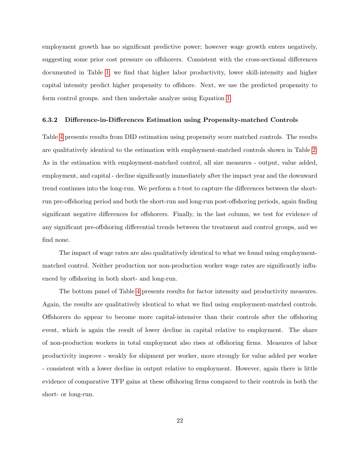employment growth has no significant predictive power; however wage growth enters negatively, suggesting some prior cost pressure on offshorers. Consistent with the cross-sectional differences documented in Table [1,](#page-37-0) we find that higher labor productivity, lower skill-intensity and higher capital intensity predict higher propensity to offshore. Next, we use the predicted propensity to form control groups. and then undertake analyze using Equation [1.](#page-16-0)

#### 6.3.2 Difference-in-Differences Estimation using Propensity-matched Controls

Table [4](#page-39-1) presents results from DID estimation using propensity score matched controls. The results are qualitatively identical to the estimation with employment-matched controls shown in Table [2.](#page-38-0) As in the estimation with employment-matched control, all size measures - output, value added, employment, and capital - decline significantly immediately after the impact year and the downward trend continues into the long-run. We perform a t-test to capture the differences between the shortrun pre-offshoring period and both the short-run and long-run post-offshoring periods, again finding significant negative differences for offshorers. Finally, in the last column, we test for evidence of any significant pre-offshoring differential trends between the treatment and control groups, and we find none.

The impact of wage rates are also qualitatively identical to what we found using employmentmatched control. Neither production nor non-production worker wage rates are significantly influenced by offshoring in both short- and long-run.

The bottom panel of Table [4](#page-39-1) presents results for factor intensity and productivity measures. Again, the results are qualitatively identical to what we find using employment-matched controls. Offshorers do appear to become more capital-intensive than their controls after the offshoring event, which is again the result of lower decline in capital relative to employment. The share of non-production workers in total employment also rises at offshoring firms. Measures of labor productivity improve - weakly for shipment per worker, more strongly for value added per worker - consistent with a lower decline in output relative to employment. However, again there is little evidence of comparative TFP gains at these offshoring firms compared to their controls in both the short- or long-run.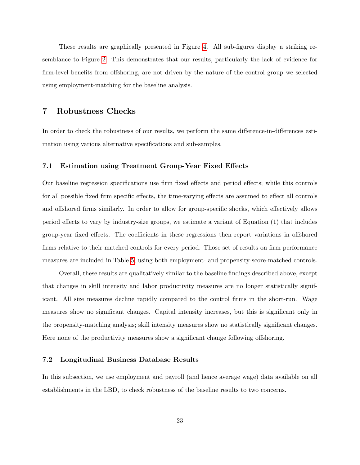These results are graphically presented in Figure [4.](#page-48-0) All sub-figures display a striking resemblance to Figure [2.](#page-46-0) This demonstrates that our results, particularly the lack of evidence for firm-level benefits from offshoring, are not driven by the nature of the control group we selected using employment-matching for the baseline analysis.

### <span id="page-24-1"></span>7 Robustness Checks

In order to check the robustness of our results, we perform the same difference-in-differences estimation using various alternative specifications and sub-samples.

#### <span id="page-24-2"></span>7.1 Estimation using Treatment Group-Year Fixed Effects

Our baseline regression specifications use firm fixed effects and period effects; while this controls for all possible fixed firm specific effects, the time-varying effects are assumed to effect all controls and offshored firms similarly. In order to allow for group-specific shocks, which effectively allows period effects to vary by industry-size groups, we estimate a variant of Equation (1) that includes group-year fixed effects. The coefficients in these regressions then report variations in offshored firms relative to their matched controls for every period. Those set of results on firm performance measures are included in Table [5,](#page-40-0) using both employment- and propensity-score-matched controls.

Overall, these results are qualitatively similar to the baseline findings described above, except that changes in skill intensity and labor productivity measures are no longer statistically significant. All size measures decline rapidly compared to the control firms in the short-run. Wage measures show no significant changes. Capital intensity increases, but this is significant only in the propensity-matching analysis; skill intensity measures show no statistically significant changes. Here none of the productivity measures show a significant change following offshoring.

#### <span id="page-24-0"></span>7.2 Longitudinal Business Database Results

In this subsection, we use employment and payroll (and hence average wage) data available on all establishments in the LBD, to check robustness of the baseline results to two concerns.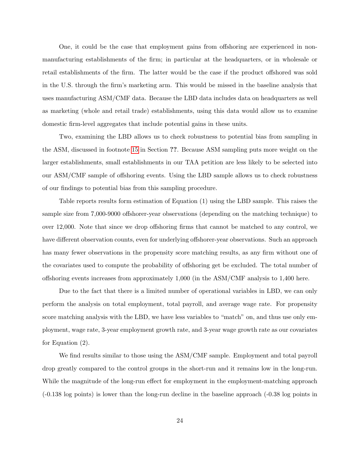One, it could be the case that employment gains from offshoring are experienced in nonmanufacturing establishments of the firm; in particular at the headquarters, or in wholesale or retail establishments of the firm. The latter would be the case if the product offshored was sold in the U.S. through the firm's marketing arm. This would be missed in the baseline analysis that uses manufacturing ASM/CMF data. Because the LBD data includes data on headquarters as well as marketing (whole and retail trade) establishments, using this data would allow us to examine domestic firm-level aggregates that include potential gains in these units.

Two, examining the LBD allows us to check robustness to potential bias from sampling in the ASM, discussed in footnote [15](#page-14-1) in Section ??. Because ASM sampling puts more weight on the larger establishments, small establishments in our TAA petition are less likely to be selected into our ASM/CMF sample of offshoring events. Using the LBD sample allows us to check robustness of our findings to potential bias from this sampling procedure.

Table reports results form estimation of Equation (1) using the LBD sample. This raises the sample size from 7,000-9000 offshorer-year observations (depending on the matching technique) to over 12,000. Note that since we drop offshoring firms that cannot be matched to any control, we have different observation counts, even for underlying offshorer-year observations. Such an approach has many fewer observations in the propensity score matching results, as any firm without one of the covariates used to compute the probability of offshoring get be excluded. The total number of offshoring events increases from approximately 1,000 (in the ASM/CMF analysis to 1,400 here.

Due to the fact that there is a limited number of operational variables in LBD, we can only perform the analysis on total employment, total payroll, and average wage rate. For propensity score matching analysis with the LBD, we have less variables to "match" on, and thus use only employment, wage rate, 3-year employment growth rate, and 3-year wage growth rate as our covariates for Equation (2).

We find results similar to those using the ASM/CMF sample. Employment and total payroll drop greatly compared to the control groups in the short-run and it remains low in the long-run. While the magnitude of the long-run effect for employment in the employment-matching approach (-0.138 log points) is lower than the long-run decline in the baseline approach (-0.38 log points in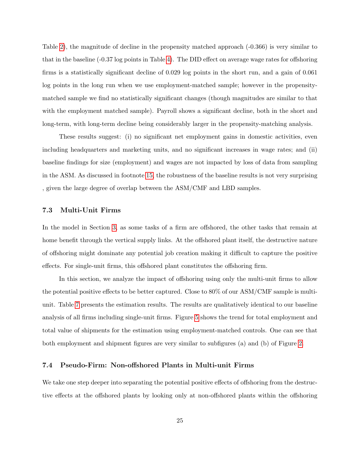Table [2\)](#page-38-0), the magnitude of decline in the propensity matched approach (-0.366) is very similar to that in the baseline (-0.37 log points in Table [4\)](#page-39-1). The DID effect on average wage rates for offshoring firms is a statistically significant decline of 0.029 log points in the short run, and a gain of 0.061 log points in the long run when we use employment-matched sample; however in the propensitymatched sample we find no statistically significant changes (though magnitudes are similar to that with the employment matched sample). Payroll shows a significant decline, both in the short and long-term, with long-term decline being considerably larger in the propensity-matching analysis.

These results suggest: (i) no significant net employment gains in domestic activities, even including headquarters and marketing units, and no significant increases in wage rates; and (ii) baseline findings for size (employment) and wages are not impacted by loss of data from sampling in the ASM. As discussed in footnote [15,](#page-14-1) the robustness of the baseline results is not very surprising , given the large degree of overlap between the ASM/CMF and LBD samples.

#### 7.3 Multi-Unit Firms

In the model in Section [3,](#page-9-0) as some tasks of a firm are offshored, the other tasks that remain at home benefit through the vertical supply links. At the offshored plant itself, the destructive nature of offshoring might dominate any potential job creation making it difficult to capture the positive effects. For single-unit firms, this offshored plant constitutes the offshoring firm.

In this section, we analyze the impact of offshoring using only the multi-unit firms to allow the potential positive effects to be better captured. Close to 80% of our ASM/CMF sample is multiunit. Table [7](#page-42-0) presents the estimation results. The results are qualitatively identical to our baseline analysis of all firms including single-unit firms. Figure [5](#page-49-0) shows the trend for total employment and total value of shipments for the estimation using employment-matched controls. One can see that both employment and shipment figures are very similar to subfigures (a) and (b) of Figure [2.](#page-46-0)

#### 7.4 Pseudo-Firm: Non-offshored Plants in Multi-unit Firms

We take one step deeper into separating the potential positive effects of offshoring from the destructive effects at the offshored plants by looking only at non-offshored plants within the offshoring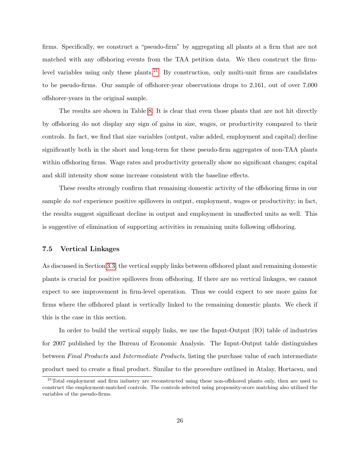firms. Specifically, we construct a "pseudo-firm" by aggregating all plants at a firm that are not matched with any offshoring events from the TAA petition data. We then construct the firm-level variables using only these plants.<sup>[21](#page-27-0)</sup> By construction, only multi-unit firms are candidates to be pseudo-firms. Our sample of offshorer-year observations drops to 2,161, out of over 7,000 offshorer-years in the original sample.

The results are shown in Table [8.](#page-43-0) It is clear that even those plants that are not hit directly by offshoring do not display any sign of gains in size, wages, or productivity compared to their controls. In fact, we find that size variables (output, value added, employment and capital) decline significantly both in the short and long-term for these pseudo-firm aggregates of non-TAA plants within offshoring firms. Wage rates and productivity generally show no significant changes; capital and skill intensity show some increase consistent with the baseline effects.

These results strongly confirm that remaining domestic activity of the offshoring firms in our sample do not experience positive spillovers in output, employment, wages or productivity; in fact, the results suggest significant decline in output and employment in unaffected units as well. This is suggestive of elimination of supporting activities in remaining units following offshoring.

#### 7.5 Vertical Linkages

As discussed in Section [3.3,](#page-11-0) the vertical supply links between offshored plant and remaining domestic plants is crucial for positive spillovers from offshoring. If there are no vertical linkages, we cannot expect to see improvement in firm-level operation. Thus we could expect to see more gains for firms where the offshored plant is vertically linked to the remaining domestic plants. We check if this is the case in this section.

In order to build the vertical supply links, we use the Input-Output (IO) table of industries for 2007 published by the Bureau of Economic Analysis. The Input-Output table distinguishes between Final Products and Intermediate Products, listing the purchase value of each intermediate product used to create a final product. Similar to the procedure outlined in Atalay, Hortacsu, and

<span id="page-27-0"></span><sup>&</sup>lt;sup>21</sup>Total employment and firm industry are reconstructed using these non-offshored plants only, then are used to construct the employment-matched controls. The controls selected using propensity-score matching also utilized the variables of the pseudo-firms.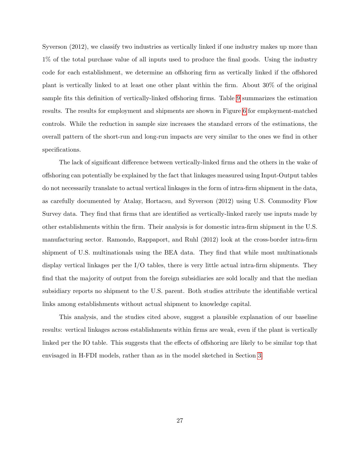Syverson (2012), we classify two industries as vertically linked if one industry makes up more than 1% of the total purchase value of all inputs used to produce the final goods. Using the industry code for each establishment, we determine an offshoring firm as vertically linked if the offshored plant is vertically linked to at least one other plant within the firm. About 30% of the original sample fits this definition of vertically-linked offshoring firms. Table [9](#page-44-0) summarizes the estimation results. The results for employment and shipments are shown in Figure [6](#page-49-1) for employment-matched controls. While the reduction in sample size increases the standard errors of the estimations, the overall pattern of the short-run and long-run impacts are very similar to the ones we find in other specifications.

The lack of significant difference between vertically-linked firms and the others in the wake of offshoring can potentially be explained by the fact that linkages measured using Input-Output tables do not necessarily translate to actual vertical linkages in the form of intra-firm shipment in the data, as carefully documented by Atalay, Hortacsu, and Syverson (2012) using U.S. Commodity Flow Survey data. They find that firms that are identified as vertically-linked rarely use inputs made by other establishments within the firm. Their analysis is for domestic intra-firm shipment in the U.S. manufacturing sector. Ramondo, Rappaport, and Ruhl (2012) look at the cross-border intra-firm shipment of U.S. multinationals using the BEA data. They find that while most multinationals display vertical linkages per the I/O tables, there is very little actual intra-firm shipments. They find that the majority of output from the foreign subsidiaries are sold locally and that the median subsidiary reports no shipment to the U.S. parent. Both studies attribute the identifiable vertical links among establishments without actual shipment to knowledge capital.

This analysis, and the studies cited above, suggest a plausible explanation of our baseline results: vertical linkages across establishments within firms are weak, even if the plant is vertically linked per the IO table. This suggests that the effects of offshoring are likely to be similar top that envisaged in H-FDI models, rather than as in the model sketched in Section [3.](#page-9-0)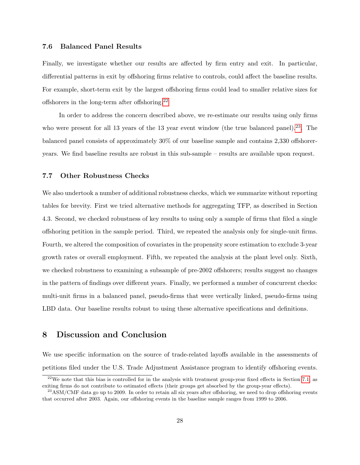#### 7.6 Balanced Panel Results

Finally, we investigate whether our results are affected by firm entry and exit. In particular, differential patterns in exit by offshoring firms relative to controls, could affect the baseline results. For example, short-term exit by the largest offshoring firms could lead to smaller relative sizes for offshorers in the long-term after offshoring.[22](#page-29-0)

In order to address the concern described above, we re-estimate our results using only firms who were present for all 13 years of the 13 year event window (the true balanced panel).<sup>[23](#page-29-1)</sup>. The balanced panel consists of approximately 30% of our baseline sample and contains 2,330 offshoreryears. We find baseline results are robust in this sub-sample – results are available upon request.

#### 7.7 Other Robustness Checks

We also undertook a number of additional robustness checks, which we summarize without reporting tables for brevity. First we tried alternative methods for aggregating TFP, as described in Section 4.3. Second, we checked robustness of key results to using only a sample of firms that filed a single offshoring petition in the sample period. Third, we repeated the analysis only for single-unit firms. Fourth, we altered the composition of covariates in the propensity score estimation to exclude 3-year growth rates or overall employment. Fifth, we repeated the analysis at the plant level only. Sixth, we checked robustness to examining a subsample of pre-2002 offshorers; results suggest no changes in the pattern of findings over different years. Finally, we performed a number of concurrent checks: multi-unit firms in a balanced panel, pseudo-firms that were vertically linked, pseudo-firms using LBD data. Our baseline results robust to using these alternative specifications and definitions.

### 8 Discussion and Conclusion

We use specific information on the source of trade-related layoffs available in the assessments of petitions filed under the U.S. Trade Adjustment Assistance program to identify offshoring events.

<span id="page-29-0"></span> $^{22}$ We note that this bias is controlled for in the analysis with treatment group-year fixed effects in Section [7.1,](#page-24-2) as exiting firms do not contribute to estimated effects (their groups get absorbed by the group-year effects).

<span id="page-29-1"></span> $^{23}$ ASM/CMF data go up to 2009. In order to retain all six years after offshoring, we need to drop offshoring events that occurred after 2003. Again, our offshoring events in the baseline sample ranges from 1999 to 2006.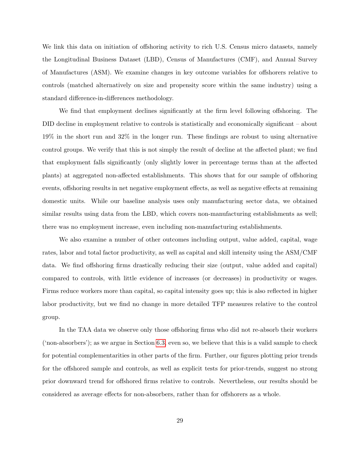We link this data on initiation of offshoring activity to rich U.S. Census micro datasets, namely the Longitudinal Business Dataset (LBD), Census of Manufactures (CMF), and Annual Survey of Manufactures (ASM). We examine changes in key outcome variables for offshorers relative to controls (matched alternatively on size and propensity score within the same industry) using a standard difference-in-differences methodology.

We find that employment declines significantly at the firm level following offshoring. The DID decline in employment relative to controls is statistically and economically significant – about 19% in the short run and 32% in the longer run. These findings are robust to using alternative control groups. We verify that this is not simply the result of decline at the affected plant; we find that employment falls significantly (only slightly lower in percentage terms than at the affected plants) at aggregated non-affected establishments. This shows that for our sample of offshoring events, offshoring results in net negative employment effects, as well as negative effects at remaining domestic units. While our baseline analysis uses only manufacturing sector data, we obtained similar results using data from the LBD, which covers non-manufacturing establishments as well; there was no employment increase, even including non-manufacturing establishments.

We also examine a number of other outcomes including output, value added, capital, wage rates, labor and total factor productivity, as well as capital and skill intensity using the ASM/CMF data. We find offshoring firms drastically reducing their size (output, value added and capital) compared to controls, with little evidence of increases (or decreases) in productivity or wages. Firms reduce workers more than capital, so capital intensity goes up; this is also reflected in higher labor productivity, but we find no change in more detailed TFP measures relative to the control group.

In the TAA data we observe only those offshoring firms who did not re-absorb their workers ('non-absorbers'); as we argue in Section [6.3,](#page-21-0) even so, we believe that this is a valid sample to check for potential complementarities in other parts of the firm. Further, our figures plotting prior trends for the offshored sample and controls, as well as explicit tests for prior-trends, suggest no strong prior downward trend for offshored firms relative to controls. Nevertheless, our results should be considered as average effects for non-absorbers, rather than for offshorers as a whole.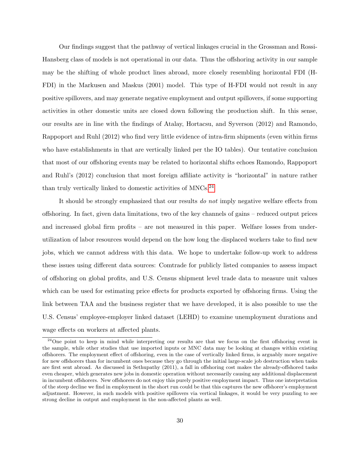Our findings suggest that the pathway of vertical linkages crucial in the Grossman and Rossi-Hansberg class of models is not operational in our data. Thus the offshoring activity in our sample may be the shifting of whole product lines abroad, more closely resembling horizontal FDI (H-FDI) in the Markusen and Maskus (2001) model. This type of H-FDI would not result in any positive spillovers, and may generate negative employment and output spillovers, if some supporting activities in other domestic units are closed down following the production shift. In this sense, our results are in line with the findings of Atalay, Hortacsu, and Syverson (2012) and Ramondo, Rappoport and Ruhl (2012) who find very little evidence of intra-firm shipments (even within firms who have establishments in that are vertically linked per the IO tables). Our tentative conclusion that most of our offshoring events may be related to horizontal shifts echoes Ramondo, Rappoport and Ruhl's (2012) conclusion that most foreign affiliate activity is "horizontal" in nature rather than truly vertically linked to domestic activities of  $MNCs$ <sup>[24](#page-31-0)</sup>

It should be strongly emphasized that our results do not imply negative welfare effects from offshoring. In fact, given data limitations, two of the key channels of gains – reduced output prices and increased global firm profits – are not measured in this paper. Welfare losses from underutilization of labor resources would depend on the how long the displaced workers take to find new jobs, which we cannot address with this data. We hope to undertake follow-up work to address these issues using different data sources: Comtrade for publicly listed companies to assess impact of offshoring on global profits, and U.S. Census shipment level trade data to measure unit values which can be used for estimating price effects for products exported by offshoring firms. Using the link between TAA and the business register that we have developed, it is also possible to use the U.S. Census' employee-employer linked dataset (LEHD) to examine unemployment durations and wage effects on workers at affected plants.

<span id="page-31-0"></span><sup>&</sup>lt;sup>24</sup>One point to keep in mind while interpreting our results are that we focus on the first offshoring event in the sample, while other studies that use imported inputs or MNC data may be looking at changes within existing offshorers. The employment effect of offshoring, even in the case of vertically linked firms, is arguably more negative for new offshorers than for incumbent ones because they go through the initial large-scale job destruction when tasks are first sent abroad. As discussed in Sethupathy (2011), a fall in offshoring cost makes the already-offshored tasks even cheaper, which generates new jobs in domestic operation without necessarily causing any additional displacement in incumbent offshorers. New offshorers do not enjoy this purely positive employment impact. Thus one interpretation of the steep decline we find in employment in the short run could be that this captures the new offshorer's employment adjustment. However, in such models with positive spillovers via vertical linkages, it would be very puzzling to see strong decline in output and employment in the non-affected plants as well.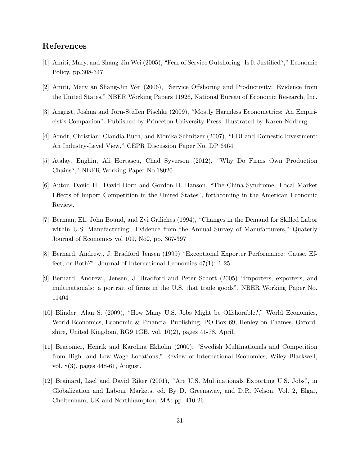### References

- [1] Amiti, Mary, and Shang-Jin Wei (2005), "Fear of Service Outshoring: Is It Justified?," Economic Policy, pp.308-347
- [2] Amiti, Mary an Shang-Jin Wei (2006), "Service Offshoring and Productivity: Evidence from the United States," NBER Working Papers 11926, National Bureau of Economic Research, Inc.
- [3] Angrist, Joshua and Jorn-Steffen Pischke (2009), "Mostly Harmless Econometrics: An Empiricist's Companion". Published by Princeton University Press. Illustrated by Karen Norberg.
- [4] Arndt, Christian; Claudia Buch, and Monika Schnitzer (2007), "FDI and Domestic Investment: An Industry-Level View," CEPR Discussion Paper No. DP 6464
- [5] Atalay, Enghin, Ali Hortascu, Chad Syverson (2012), "Why Do Firms Own Production Chains?," NBER Working Paper No.18020
- [6] Autor, David H., David Dorn and Gordon H. Hanson, "The China Syndrome: Local Market Effects of Import Competition in the United States", forthcoming in the American Economic Review.
- [7] Berman, Eli, John Bound, and Zvi Griliches (1994), "Changes in the Demand for Skilled Labor within U.S. Manufacturing: Evidence from the Annual Survey of Manufacturers," Quaterly Journal of Economics vol 109, No2, pp. 367-397
- [8] Bernard, Andrew., J. Bradford Jensen (1999) "Exceptional Exporter Performance: Cause, Effect, or Both?". Journal of International Economics 47(1): 1-25.
- [9] Bernard, Andrew., Jensen, J. Bradford and Peter Schott (2005) "Importers, exporters, and multinationals: a portrait of firms in the U.S. that trade goods". NBER Working Paper No. 11404
- [10] Blinder, Alan S. (2009), "How Many U.S. Jobs Might be Offshorable?," World Economics, World Economics, Economic & Financial Publishing, PO Box 69, Henley-on-Thames, Oxfordshire, United Kingdom, RG9 1GB, vol. 10(2), pages 41-78, April.
- [11] Braconier, Henrik and Karolina Ekholm (2000), "Swedish Multinationals and Competition from High- and Low-Wage Locations," Review of International Economics, Wiley Blackwell, vol. 8(3), pages 448-61, August.
- [12] Brainard, Lael and David Riker (2001), "Are U.S. Multinationals Exporting U.S. Jobs?, in Globalization and Labour Markets, ed. By D. Greenaway, and D.R. Nelson, Vol. 2, Elgar, Cheltenham, UK and Northhampton, MA: pp. 410-26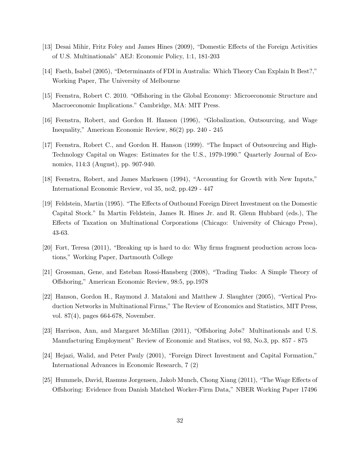- [13] Desai Mihir, Fritz Foley and James Hines (2009), "Domestic Effects of the Foreign Activities of U.S. Multinationals" AEJ: Economic Policy, 1:1, 181-203
- [14] Faeth, Isabel (2005), "Determinants of FDI in Australia: Which Theory Can Explain It Best?," Working Paper, The University of Melbourne
- [15] Feenstra, Robert C. 2010. "Offshoring in the Global Economy: Microeconomic Structure and Macroeconomic Implications." Cambridge, MA: MIT Press.
- [16] Feenstra, Robert, and Gordon H. Hanson (1996), "Globalization, Outsourcing, and Wage Inequality," American Economic Review, 86(2) pp. 240 - 245
- [17] Feenstra, Robert C., and Gordon H. Hanson (1999). "The Impact of Outsourcing and High-Technology Capital on Wages: Estimates for the U.S., 1979-1990." Quarterly Journal of Economics, 114:3 (August), pp. 907-940.
- [18] Feenstra, Robert, and James Markusen (1994), "Accounting for Growth with New Inputs," International Economic Review, vol 35, no2, pp.429 - 447
- [19] Feldstein, Martin (1995). "The Effects of Outbound Foreign Direct Investment on the Domestic Capital Stock." In Martin Feldstein, James R. Hines Jr. and R. Glenn Hubbard (eds.), The Effects of Taxation on Multinational Corporations (Chicago: University of Chicago Press), 43-63.
- [20] Fort, Teresa (2011), "Breaking up is hard to do: Why firms fragment production across locations," Working Paper, Dartmouth College
- [21] Grossman, Gene, and Esteban Rossi-Hansberg (2008), "Trading Tasks: A Simple Theory of Offshoring," American Economic Review, 98:5, pp.1978
- [22] Hanson, Gordon H., Raymond J. Mataloni and Matthew J. Slaughter (2005), "Vertical Production Networks in Multinational Firms," The Review of Economics and Statistics, MIT Press, vol. 87(4), pages 664-678, November.
- [23] Harrison, Ann, and Margaret McMillan (2011), "Offshoring Jobs? Multinationals and U.S. Manufacturing Employment" Review of Economic and Statiscs, vol 93, No.3, pp. 857 - 875
- [24] Hejazi, Walid, and Peter Pauly (2001), "Foreign Direct Investment and Capital Formation," International Advances in Economic Research, 7 (2)
- [25] Hummels, David, Rasmus Jorgensen, Jakob Munch, Chong Xiang (2011), "The Wage Effects of Offshoring: Evidence from Danish Matched Worker-Firm Data," NBER Working Paper 17496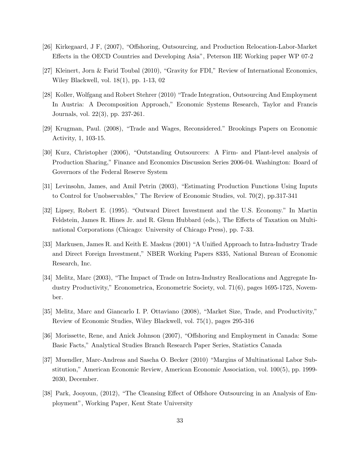- [26] Kirkegaard, J F, (2007), "Offshoring, Outsourcing, and Production Relocation-Labor-Market Effects in the OECD Countries and Developing Asia", Peterson IIE Working paper WP 07-2
- [27] Kleinert, Jorn & Farid Toubal (2010), "Gravity for FDI," Review of International Economics, Wiley Blackwell, vol. 18(1), pp. 1-13, 02
- [28] Koller, Wolfgang and Robert Stehrer (2010) "Trade Integration, Outsourcing And Employment In Austria: A Decomposition Approach," Economic Systems Research, Taylor and Francis Journals, vol. 22(3), pp. 237-261.
- [29] Krugman, Paul. (2008), "Trade and Wages, Reconsidered." Brookings Papers on Economic Activity, 1, 103-15.
- [30] Kurz, Christopher (2006), "Outstanding Outsourcers: A Firm- and Plant-level analysis of Production Sharing," Finance and Economics Discussion Series 2006-04. Washington: Board of Governors of the Federal Reserve System
- [31] Levinsohn, James, and Amil Petrin (2003), "Estimating Production Functions Using Inputs to Control for Unobservables," The Review of Economic Studies, vol. 70(2), pp.317-341
- [32] Lipsey, Robert E. (1995). "Outward Direct Investment and the U.S. Economy." In Martin Feldstein, James R. Hines Jr. and R. Glenn Hubbard (eds.), The Effects of Taxation on Multinational Corporations (Chicago: University of Chicago Press), pp. 7-33.
- [33] Markusen, James R. and Keith E. Maskus (2001) "A Unified Approach to Intra-Industry Trade and Direct Foreign Investment," NBER Working Papers 8335, National Bureau of Economic Research, Inc.
- [34] Melitz, Marc (2003), "The Impact of Trade on Intra-Industry Reallocations and Aggregate Industry Productivity," Econometrica, Econometric Society, vol. 71(6), pages 1695-1725, November.
- [35] Melitz, Marc and Giancarlo I. P. Ottaviano (2008), "Market Size, Trade, and Productivity," Review of Economic Studies, Wiley Blackwell, vol. 75(1), pages 295-316
- [36] Morissette, Rene, and Anick Johnson (2007), "Offshoring and Employment in Canada: Some Basic Facts," Analytical Studies Branch Research Paper Series, Statistics Canada
- [37] Muendler, Marc-Andreas and Sascha O. Becker (2010) "Margins of Multinational Labor Substitution," American Economic Review, American Economic Association, vol. 100(5), pp. 1999- 2030, December.
- [38] Park, Jooyoun, (2012), "The Cleansing Effect of Offshore Outsourcing in an Analysis of Employment", Working Paper, Kent State University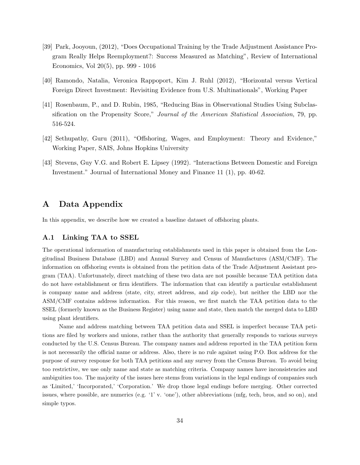- [39] Park, Jooyoun, (2012), "Does Occupational Training by the Trade Adjustment Assistance Program Really Helps Reemployment?: Success Measured as Matching", Review of International Economics, Vol 20(5), pp. 999 - 1016
- [40] Ramondo, Natalia, Veronica Rappoport, Kim J. Ruhl (2012), "Horizontal versus Vertical Foreign Direct Investment: Revisiting Evidence from U.S. Multinationals", Working Paper
- [41] Rosenbaum, P., and D. Rubin, 1985, "Reducing Bias in Observational Studies Using Subclassification on the Propensity Score," Journal of the American Statistical Association, 79, pp. 516-524.
- [42] Sethupathy, Guru (2011), "Offshoring, Wages, and Employment: Theory and Evidence," Working Paper, SAIS, Johns Hopkins University
- [43] Stevens, Guy V.G. and Robert E. Lipsey (1992). "Interactions Between Domestic and Foreign Investment." Journal of International Money and Finance 11 (1), pp. 40-62.

### A Data Appendix

In this appendix, we describe how we created a baseline dataset of offshoring plants.

#### A.1 Linking TAA to SSEL

The operational information of manufacturing establishments used in this paper is obtained from the Longitudinal Business Database (LBD) and Annual Survey and Census of Manufactures (ASM/CMF). The information on offshoring events is obtained from the petition data of the Trade Adjustment Assistant program (TAA). Unfortunately, direct matching of these two data are not possible because TAA petition data do not have establishment or firm identifiers. The information that can identify a particular establishment is company name and address (state, city, street address, and zip code), but neither the LBD nor the ASM/CMF contains address information. For this reason, we first match the TAA petition data to the SSEL (formerly known as the Business Register) using name and state, then match the merged data to LBD using plant identifiers.

Name and address matching between TAA petition data and SSEL is imperfect because TAA petitions are filed by workers and unions, rather than the authority that generally responds to various surveys conducted by the U.S. Census Bureau. The company names and address reported in the TAA petition form is not necessarily the official name or address. Also, there is no rule against using P.O. Box address for the purpose of survey response for both TAA petitions and any survey from the Census Bureau. To avoid being too restrictive, we use only name and state as matching criteria. Company names have inconsistencies and ambiguities too. The majority of the issues here stems from variations in the legal endings of companies such as 'Limited,' 'Incorporated,' 'Corporation.' We drop those legal endings before merging. Other corrected issues, where possible, are numerics (e.g. '1' v. 'one'), other abbreviations (mfg, tech, bros, and so on), and simple typos.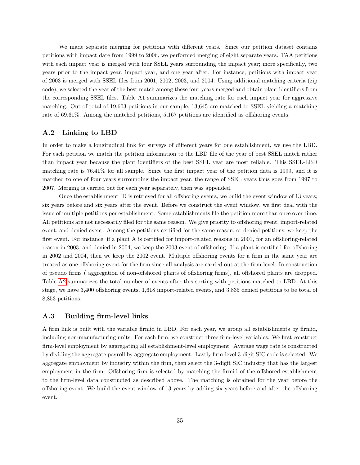We made separate merging for petitions with different years. Since our petition dataset contains petitions with impact date from 1999 to 2006, we performed merging of eight separate years. TAA petitions with each impact year is merged with four SSEL years surrounding the impact year; more specifically, two years prior to the impact year, impact year, and one year after. For instance, petitions with impact year of 2003 is merged with SSEL files from 2001, 2002, 2003, and 2004. Using additional matching criteria (zip code), we selected the year of the best match among these four years merged and obtain plant identifiers from the corresponding SSEL files. Table A1 summarizes the matching rate for each impact year for aggressive matching. Out of total of 19,603 petitions in our sample, 13,645 are matched to SSEL yielding a matching rate of 69.61%. Among the matched petitions, 5,167 petitions are identified as offshoring events.

#### A.2 Linking to LBD

In order to make a longitudinal link for surveys of different years for one establishment, we use the LBD. For each petition we match the petition information to the LBD file of the year of best SSEL match rather than impact year because the plant identifiers of the best SSEL year are most reliable. This SSEL-LBD matching rate is 76.41% for all sample. Since the first impact year of the petition data is 1999, and it is matched to one of four years surrounding the impact year, the range of SSEL years thus goes from 1997 to 2007. Merging is carried out for each year separately, then was appended.

Once the establishment ID is retrieved for all offshoring events, we build the event window of 13 years; six years before and six years after the event. Before we construct the event window, we first deal with the issue of multiple petitions per establishment. Some establishments file the petition more than once over time. All petitions are not necessarily filed for the same reason. We give priority to offshoring event, import-related event, and denied event. Among the petitions certified for the same reason, or denied petitions, we keep the first event. For instance, if a plant A is certified for import-related reasons in 2001, for an offshoring-related reason in 2003, and denied in 2004, we keep the 2003 event of offshoring. If a plant is certified for offshoring in 2002 and 2004, then we keep the 2002 event. Multiple offshoring events for a firm in the same year are treated as one offshoring event for the firm since all analysis are carried out at the firm-level. In construction of pseudo firms ( aggregation of non-offshored plants of offshoring firms), all offshored plants are dropped. Table [A2](#page-38-0) summarizes the total number of events after this sorting with petitions matched to LBD. At this stage, we have 3,400 offshoring events, 1,618 import-related events, and 3,835 denied petitions to be total of 8,853 petitions.

#### A.3 Building firm-level links

A firm link is built with the variable firmid in LBD. For each year, we group all establishments by firmid, including non-manufacturing units. For each firm, we construct three firm-level variables. We first construct firm-level employment by aggregating all establishment-level employment. Average wage rate is constructed by dividing the aggregate payroll by aggregate employment. Lastly firm-level 3-digit SIC code is selected. We aggregate employment by industry within the firm, then select the 3-digit SIC industry that has the largest employment in the firm. Offshoring firm is selected by matching the firmid of the offshored establishment to the firm-level data constructed as described above. The matching is obtained for the year before the offshoring event. We build the event window of 13 years by adding six years before and after the offshoring event.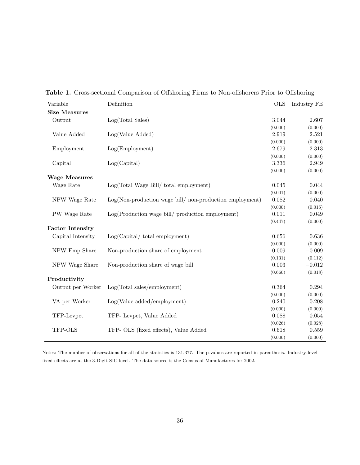| Variable                | Definition                                              | <b>OLS</b> | Industry FE      |
|-------------------------|---------------------------------------------------------|------------|------------------|
| <b>Size Measures</b>    |                                                         |            |                  |
| Output                  | Log(Total Sales)                                        | 3.044      | 2.607            |
|                         |                                                         | (0.000)    | (0.000)          |
| Value Added             | Log(Value Added)                                        | 2.919      | 2.521            |
|                         |                                                         | (0.000)    | (0.000)          |
| Employment              | Log(Employment)                                         | 2.679      | 2.313            |
|                         |                                                         | (0.000)    | (0.000)          |
| Capital                 | Log(Capital)                                            | 3.336      | 2.949            |
|                         |                                                         | (0.000)    | (0.000)          |
| <b>Wage Measures</b>    |                                                         |            |                  |
| Wage Rate               | $Log(Total Wage Bill / total employment)$               | 0.045      | 0.044            |
|                         |                                                         | (0.001)    | (0.000)          |
| NPW Wage Rate           | Log(Non-production wage bill/non-production employment) | 0.082      | 0.040            |
|                         |                                                         | (0.000)    |                  |
| PW Wage Rate            | Log(Production wage bill/production employment)         | 0.011      | (0.016)<br>0.049 |
|                         |                                                         | (0.447)    | (0.000)          |
| <b>Factor Intensity</b> |                                                         |            |                  |
|                         |                                                         |            |                  |
| Capital Intensity       | Log(Capital / total employment)                         | 0.656      | 0.636            |
|                         |                                                         | (0.000)    | (0.000)          |
| NPW Emp Share           | Non-production share of employment                      | $-0.009$   | $-0.009$         |
|                         |                                                         | (0.131)    | (0.112)          |
| NPW Wage Share          | Non-production share of wage bill                       | 0.003      | $-0.012$         |
|                         |                                                         | (0.660)    | (0.018)          |
| Productivity            |                                                         |            |                  |
| Output per Worker       | Log(Total sales/emplogment)                             | 0.364      | 0.294            |
|                         |                                                         | (0.000)    | (0.000)          |
| VA per Worker           | Log(Value added/emplogment)                             | 0.240      | 0.208            |
|                         |                                                         | (0.000)    | (0.000)          |
| TFP-Levpet              | TFP- Levpet, Value Added                                | 0.088      | 0.054            |
|                         |                                                         | (0.026)    | (0.028)          |
| TFP-OLS                 | TFP- OLS (fixed effects), Value Added                   | 0.618      | 0.559            |
|                         |                                                         | (0.000)    | (0.000)          |

<span id="page-37-0"></span>Table 1. Cross-sectional Comparison of Offshoring Firms to Non-offshorers Prior to Offshoring

Notes: The number of observations for all of the statistics is 131,377. The p-values are reported in parenthesis. Industry-level fixed effects are at the 3-Digit SIC level. The data source is the Census of Manufactures for 2002.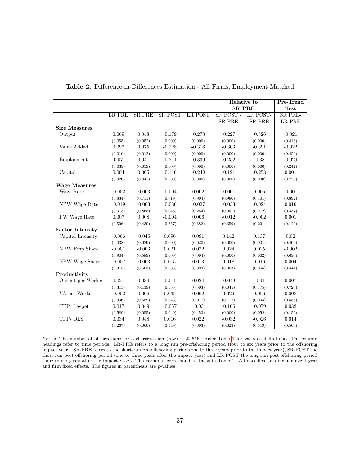|                         |               |               |                |          |               | Relative to   | Pre-Trend   |
|-------------------------|---------------|---------------|----------------|----------|---------------|---------------|-------------|
|                         |               |               |                |          |               | <b>SR_PRE</b> | <b>Test</b> |
|                         | <b>LR_PRE</b> | <b>SR_PRE</b> | <b>SR_POST</b> | LR_POST  | SR_POST -     | LR_POST-      | SR_PRE-     |
|                         |               |               |                |          | <b>SR_PRE</b> | <b>SR_PRE</b> | LR_PRE      |
| <b>Size Measures</b>    |               |               |                |          |               |               |             |
| Output                  | 0.069         | 0.048         | $-0.179$       | $-0.278$ | $-0.227$      | $-0.326$      | $-0.021$    |
|                         | (0.055)       | (0.052)       | (0.000)        | (0.000)  | (0.000)       | (0.000)       | (0.416)     |
| Value Added             | 0.097         | 0.075         | $-0.228$       | $-0.316$ | $-0.303$      | $-0.391$      | $-0.022$    |
|                         | (0.016)       | (0.012)       | (0.000)        | (0.000)  | (0.000)       | (0.000)       | (0.452)     |
| Employment              | 0.07          | 0.041         | $-0.211$       | $-0.339$ | $-0.252$      | $-0.38$       | $-0.029$    |
|                         | (0.039)       | (0.059)       | (0.000)        | (0.000)  | (0.000)       | (0.000)       | (0.247)     |
| Capital                 | 0.004         | 0.005         | $-0.116$       | $-0.248$ | $-0.121$      | $-0.253$      | 0.001       |
|                         | (0.920)       | (0.841)       | (0.000)        | (0.000)  | (0.000)       | (0.000)       | (0.770)     |
| <b>Wage Measures</b>    |               |               |                |          |               |               |             |
| Wage Rate               | $-0.002$      | $-0.003$      | $-0.004$       | 0.002    | $-0.001$      | 0.005         | $-0.001$    |
|                         | (0.834)       | (0.711)       | (0.719)        | (0.904)  | (0.980)       | (0.701)       | (0.892)     |
| NPW Wage Rate           | $-0.019$      | $-0.003$      | $-0.036$       | $-0.027$ | $-0.033$      | $-0.024$      | 0.016       |
|                         | (0.373)       | (0.865)       | (0.046)        | (0.254)  | (0.051)       | (0.272)       | (0.337)     |
| PW Wage Rate            | 0.007         | 0.008         | $-0.004$       | 0.006    | $-0.012$      | $-0.002$      | 0.001       |
|                         | (0.596)       | (0.430)       | (0.757)        | (0.682)  | (0.659)       | (0.291)       | (0.122)     |
| <b>Factor Intensity</b> |               |               |                |          |               |               |             |
| Capital Intensity       | $-0.066$      | $-0.046$      | 0.096          | 0.091    | 0.142         | 0.137         | 0.02        |
|                         | (0.038)       | (0.029)       | (0.000)        | (0.020)  | (0.000)       | (0.001)       | (0.406)     |
| NPW Emp Share           | $-0.001$      | $-0.003$      | 0.021          | 0.022    | 0.024         | 0.025         | $-0.002$    |
|                         | (0.904)       | (0.589)       | (0.000)        | (0.004)  | (0.000)       | (0.002)       | (0.690)     |
| NPW Wage Share          | $-0.007$      | $-0.003$      | 0.015          | 0.013    | 0.018         | 0.016         | 0.004       |
|                         | (0.313)       | (0.603)       | (0.005)        | (0.099)  | (0.003)       | (0.055)       | (0.444)     |
| Productivity            |               |               |                |          |               |               |             |
| Output per Worker       | 0.027         | 0.034         | $-0.015$       | 0.024    | $-0.049$      | $-0.01$       | 0.007       |
|                         | (0.313)       | (0.139)       | (0.555)        | (0.503)  | (0.045)       | (0.775)       | (0.720)     |
| VA per Worker           | $-0.002$      | 0.006         | 0.035          | 0.062    | 0.029         | 0.056         | 0.008       |
|                         | (0.936)       | (0.689)       | (0.043)        | (0.017)  | (0.117)       | (0.033)       | (0.585)     |
| TFP-Levpet              | 0.017         | 0.049         | $-0.057$       | $-0.03$  | $-0.106$      | $-0.079$      | 0.032       |
|                         | (0.589)       | (0.055)       | (0.040)        | (0.453)  | (0.000)       | (0.052)       | (0.156)     |
| TFP-OLS                 | 0.034         | 0.048         | $0.016\,$      | 0.022    | $-0.032$      | $-0.026$      | 0.014       |
|                         | (0.267)       | (0.060)       | (0.549)        | (0.603)  | (0.023)       | (0.519)       | (0.506)     |

<span id="page-38-0"></span>Table 2. Difference-in-Differences Estimation - All Firms, Employment-Matched

Notes: The number of observations for each regression (row) is 22,556. Refer Table [1](#page-37-0) for variable definitions. The column headings refer to time periods. LR-PRE refers to a long run pre-offshoring period (four to six years prior to the offshoring impact year). SR-PRE refers to the short-run pre-offshoring period (one to three years prior to the impact year), SR-POST the short-run post-offshoring period (one to three years after the impact year) and LR-POST the long-run post-offshoring period (four to six years after the impact year). The variables correspond to those in Table 1. All specifications include event-year and firm fixed effects. The figures in parenthesis are p-values.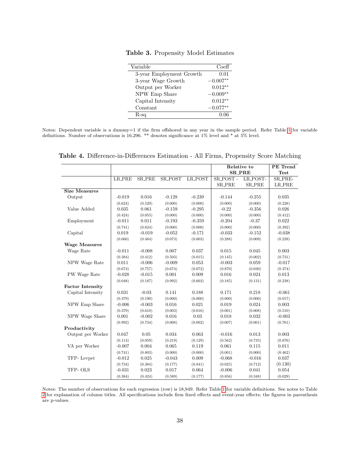| Variable                 | Coeff      |
|--------------------------|------------|
| 3-year Employment Growth | 0.01       |
| 3-year Wage Growth       | $-0.007**$ |
| Output per Worker        | $0.012**$  |
| NPW Emp Share            | $-0.009**$ |
| Capital Intensity        | $0.012**$  |
| Constant                 | $-0.077**$ |
| $R$ -sq                  | 0.06       |

<span id="page-39-0"></span>Table 3. Propensity Model Estimates

Notes: Dependent variable is a dummy=1 if the firm offshored in any year in the sample period. Refer Table [1](#page-37-0) for variable definitions. Number of observations is 16,296. \*\* denotes significance at 1% level and \* at 5% level.

|                         |               |               |          |                |               | Relative to   | PE Trend      |
|-------------------------|---------------|---------------|----------|----------------|---------------|---------------|---------------|
|                         |               |               |          |                |               | <b>SR_PRE</b> | <b>Test</b>   |
|                         | <b>LR_PRE</b> | <b>SR_PRE</b> | SR_POST  | <b>LR_POST</b> | SR_POST -     | LR_POST-      | SR_PRE-       |
|                         |               |               |          |                | <b>SR_PRE</b> | <b>SR_PRE</b> | <b>LR_PRE</b> |
| <b>Size Measures</b>    |               |               |          |                |               |               |               |
| Output                  | $-0.019$      | 0.016         | $-0.128$ | $-0.239$       | $-0.144$      | $-0.255$      | 0.035         |
|                         | (0.624)       | (0.529)       | (0.000)  | (0.000)        | (0.000)       | (0.000)       | (0.228)       |
| Value Added             | 0.035         | 0.061         | $-0.159$ | $-0.295$       | $-0.22$       | $-0.356$      | 0.026         |
|                         | (0.424)       | (0.055)       | (0.000)  | (0.000)        | (0.000)       | (0.000)       | (0.412)       |
| Employment              | $-0.011$      | 0.011         | $-0.193$ | $-0.359$       | $-0.204$      | $-0.37$       | 0.022         |
|                         | (0.741)       | (0.624)       | (0.000)  | (0.000)        | (0.000)       | (0.000)       | (0.392)       |
| Capital                 | 0.019         | $-0.019$      | $-0.052$ | $-0.171$       | $-0.033$      | $-0.152$      | $-0.038$      |
|                         | (0.660)       | (0.484)       | (0.073)  | (0.003)        | (0.288)       | (0.009)       | (0.239)       |
| <b>Wage Measures</b>    |               |               |          |                |               |               |               |
| Wage Rate               | $-0.011$      | $-0.008$      | 0.007    | 0.037          | 0.015         | 0.045         | 0.003         |
|                         | (0.384)       | (0.412)       | (0.503)  | (0.015)        | (0.145)       | (0.002)       | (0.731)       |
| NPW Wage Rate           | 0.011         | $-0.006$      | $-0.009$ | 0.053          | $-0.003$      | 0.059         | $-0.017$      |
|                         | (0.674)       | (0.757)       | (0.674)  | (0.072)        | (0.870)       | (0.030)       | (0.374)       |
| PW Wage Rate            | $-0.028$      | $-0.015$      | 0.001    | 0.009          | 0.016         | 0.024         | 0.013         |
|                         | (0.048)       | (0.187)       | (0.992)  | (0.603)        | (0.185)       | (0.131)       | (0.238)       |
| <b>Factor Intensity</b> |               |               |          |                |               |               |               |
| Capital Intensity       | 0.031         | $-0.03$       | 0.141    | 0.188          | 0.171         | 0.218         | $-0.061$      |
|                         | (0.379)       | (0.190)       | (0.000)  | (0.000)        | (0.000)       | (0.000)       | (0.017)       |
| NPW Emp Share           | $-0.006$      | $-0.003$      | 0.016    | 0.021          | 0.019         | 0.024         | 0.003         |
|                         | (0.379)       | (0.610)       | (0.003)  | (0.016)        | (0.001)       | (0.008)       | (0.510)       |
| NPW Wage Share          | 0.001         | $-0.002$      | 0.016    | 0.03           | 0.018         | 0.032         | $-0.003$      |
|                         | (0.992)       | (0.734)       | (0.008)  | (0.002)        | (0.007)       | (0.001)       | (0.761)       |
| Productivity            |               |               |          |                |               |               |               |
| Output per Worker       | 0.047         | 0.05          | 0.034    | 0.063          | $-0.016$      | 0.013         | 0.003         |
|                         | (0.114)       | (0.059)       | (0.219)  | (0.129)        | (0.562)       | (0.735)       | (0.876)       |
| VA per Worker           | $-0.007$      | 0.004         | 0.065    | 0.119          | 0.061         | 0.115         | 0.011         |
|                         | (0.741)       | (0.803)       | (0.000)  | (0.000)        | (0.001)       | (0.000)       | (0.462)       |
| TFP-Levpet              | $-0.012$      | 0.025         | $-0.043$ | 0.009          | $-0.068$      | $-0.016$      | 0.037         |
|                         | (0.734)       | (0.384)       | (0.177)  | (0.841)        | (0.025)       | (0.712)       | (0.130)       |
| TFP-OLS                 | $-0.031$      | 0.023         | 0.017    | 0.064          | $-0.006$      | 0.041         | 0.054         |
|                         | (0.384)       | (0.424)       | (0.589)  | (0.177)        | (0.856)       | (0.348)       | (0.029)       |

<span id="page-39-1"></span>Table 4. Difference-in-Differences Estimation - All Firms, Propensity Score Matching

Notes: The number of observations for each regression (row) is 18,949. Refer Table [1](#page-37-0) for variable definitions. See notes to Table [2](#page-38-0) for explanation of column titles. All specifications include firm fixed effects and event-year effects; the figures in parenthesis are p-values.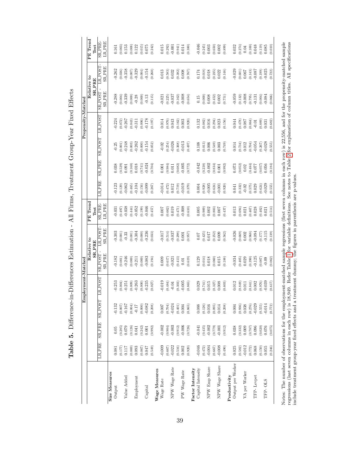| $\ddot{\phantom{0}}$<br>j<br>l<br>$\frac{1}{1}$<br>l                   |
|------------------------------------------------------------------------|
| I                                                                      |
| $\frac{1}{2}$<br>$\frac{1}{1}$                                         |
| ĺ                                                                      |
| I<br>$\frac{8}{1}$<br>ו<br> <br> <br>$\frac{1}{2}$<br>؟<br>ا<br>.<br>. |
| Ï<br>ļ<br>$\frac{1}{2}$<br>ו<br>ו<br>֪֡֡֝֜֝<br>׆                       |

<span id="page-40-0"></span>

|                    | PE Trend<br>Test             | <b>SR_PRE</b>  | <b>LR_PRE</b> |               | 0.161           | 0.003              | 0.153                | (0.008) | 0.122                                     | (0.015) | $0.075$                                                   | (0.242) |               | $0.015\,$   | (0.292) | $-0.001$                                                                                           | (0.941)                                         | 0.014                                                                                                   | (0.380) |                  | $-0.046$          | (0.245)                                         | $\!0.003$     | (0.650)              | 0.002                                                              | (0.899) |              | 0.032             | $^{(0.274)}_{0.04}$                            |                                                                      | (0.100)               | 0.048      | (0.119)            | $0.085\,$ | (0.010) |
|--------------------|------------------------------|----------------|---------------|---------------|-----------------|--------------------|----------------------|---------|-------------------------------------------|---------|-----------------------------------------------------------|---------|---------------|-------------|---------|----------------------------------------------------------------------------------------------------|-------------------------------------------------|---------------------------------------------------------------------------------------------------------|---------|------------------|-------------------|-------------------------------------------------|---------------|----------------------|--------------------------------------------------------------------|---------|--------------|-------------------|------------------------------------------------|----------------------------------------------------------------------|-----------------------|------------|--------------------|-----------|---------|
|                    | Relative to<br><b>SR_PRE</b> | LR_POST        | <b>SRPRE</b>  |               | $-0.262$        | (0.036)            | $-0.358$             | (0.007) | $-0.329$                                  | (0.004) | $-0.154$                                                  | (0.260) |               | $\rm 0.013$ | (0.583) | 0.032                                                                                              | (0.382)                                         | 0.008                                                                                                   | (0.767) |                  | 0.174             | (0.018)                                         | 0.018         | (0.235)              | 0.022                                                              | (0.146) |              | $-0.029$          |                                                | $\begin{array}{c} (0.601) \\ 0.067 \end{array}$                      | (0.143)               | $-0.087$   | (0.199)            | $-0.025$  | (0.722) |
|                    |                              | <b>SRPOST</b>  | <b>SR_PRE</b> |               | $-0.288$        |                    | (0.004)              | (0.000) | $-0.28$                                   | (0.000) | $-0.13$                                                   | (0.115) |               | 0.021       |         | $\left( 0.225\right)$ -0.037                                                                       | $(0.162)$<br>$-0.008$                           |                                                                                                         | (0.654) |                  | $0.15\,$          | (0.000)                                         | $0.008\,$     | $(0.452)$<br>0.002   |                                                                    | (0.751) |              | 0.059             |                                                | $\begin{array}{c} (0.132) \\ 0.008 \\ (0.795) \\ 0.131 \end{array}$  |                       |            | (0.004)            | $-0.084$  | (0.066) |
| Propensity-Matched |                              | LR_POST        |               |               | 0.224           | (0.072)            | $-0.267$             | (0.043) | $-0.311$                                  | (0.006) | $-0.178$                                                  | (0.197) |               | 0.014       |         | $(0.976)$<br>0.043                                                                                 | $\begin{array}{c} (0.162) \\ 0.003 \end{array}$ |                                                                                                         | (0.920) |                  | 0.132             | (0.082)                                         | 0.016         | $(0.294)$<br>$0.023$ |                                                                    | (0.156) |              | 0.044             | $(0.478)$<br>0.087                             |                                                                      | (0.064)               | $-0.01$    | (0.889)            | 0.031     | (0.682) |
|                    |                              | <b>SR_POST</b> |               |               | $-0.25$         | (0.001)            | $-0.248$             | (0.003) | $-0.262$                                  | (0.000) | $-0.154$                                                  | (0.052) |               | $-0.02$     |         | $(0.254)$<br>$-0.026$                                                                              | $(0.368)$<br>$-0.013$                           |                                                                                                         | (0.497) |                  | 0.108             | (0.013)                                         | 0.006         | (0.549)              | $\!0.003$                                                          | (0.749) |              | 0.014             | $_{0.734)}$<br>0.012                           |                                                                      | $(0.704)$<br>$-0.054$ |            | (0.267)            | $-0.028$  | (0.555) |
|                    |                              | <b>SRPRE</b>   |               |               | 0.038           | (0.529)            | 0.091                | (0.168) | 0.018                                     | (0.741) | $-0.024$                                                  | (0.704) |               | 0.001       | (0.984) | $0.011\,$                                                                                          | (0.682)                                         | $-0.005$                                                                                                | (0.772) |                  | $-0.042$          | (0.238)                                         | $-0.002$      | (0.834)              | $0.001\,$                                                          | (0.992) |              | 0.73              | $\begin{array}{c} (0.052) \\ 0.02 \end{array}$ |                                                                      | $(0.484)$<br>0.077    |            | (0.057)            | 0.056     | (0.184) |
|                    |                              | <b>LR_PRE</b>  |               |               | 0.123           | (0.129)            | $-0.062$             | (0.465) | $-0.104$                                  | (0.156) | $-0.099$                                                  | (0.267) |               | $-0.014$    | (0.472) | 0.012                                                                                              | (0.719)                                         | $-0.019$                                                                                                | (0.379) |                  | 0.004             | (0.928)                                         | $-0.005$      | (0.624)              | $-0.001$                                                           | (0.920) |              | 0.041             |                                                | $(0.332)$<br>-0.02                                                   | $(0.575)$<br>0.029    |            | (0.624)            | $-0.029$  | (0.555) |
|                    | PE Trend<br>Test             | SR_PRE-        | <b>LR_PRE</b> |               | 0.031           | (0.497)            | $-0.038$             | (0.444) | $-0.052$                                  | (0.199) | $-0.046$                                                  | (0.457) |               | 0.007       | (0.662) | 0.019                                                                                              | (0.471)                                         | $-0.008$                                                                                                | (0.610) |                  | 0.005             | (0.909)                                         | 0.002         | (0.803)              | 0.007                                                              | (0.437) |              | 0.013             |                                                | $(0.694)$<br>0.021                                                   | $(0.467)$<br>0.028    |            | (0.402)            | 0.021     | (0.514) |
|                    |                              | LRPOST         | <b>SR_PRE</b> |               | $-0.303$        | (0.001)            | $-0.33$              | (0.001) | $-0.304$                                  | (0.000) | $-0.236$                                                  | (0.033) |               | 710.0       | (0.514) | $-0.037$                                                                                           | (0.298)                                         | 0.001                                                                                                   | (0.957) |                  | 0.07              | (0.425)                                         | 0.017         | (0.252)              | 0.009                                                              | (0.562) |              | $-0.026$          | $(0.669)$<br>$0.002$                           |                                                                      | (0.968)               | $-0.094$   | (0.177)            | 0.115     | (0.139) |
|                    | Relative to<br><b>SR_PRE</b> | <b>SR_POST</b> | <b>SR_PRE</b> |               | $-0.182$        | (0.001)            | $-0.246$             | (0.000) | $-0.211$                                  | (0.000) | $-0.083$                                                  | (0.194) |               | 0.009       |         | $\begin{array}{c} (0.617) \\ -0.021 \end{array}$                                                   | (0.413)                                         | $0.01\,$                                                                                                | (0.619) |                  | 0.129             | (0.014)                                         | 0.018         | (0.060)              | 0.015                                                              | (0.188) |              | $-0.034$          | $(0.405)$<br>0.029                             |                                                                      | $(0.390)$<br>$-0.125$ |            | (0.007)            | $-0.09$   | (0.062) |
| Employment-Matched |                              | LR POST        |               |               | $0.25^{c}$      | (0.004)            | $-0.251$             | (0.009) | $-0.263$                                  | (0.000) | $-0.235$                                                  | (0.027) |               | $-0.019$    | (0.484) | $-0.04$                                                                                            | (0.303)                                         | $-0.005$                                                                                                | (0.865) |                  | 0.029             | (0.741)                                         | 0.015         | (0.327)              | 0.008                                                              | (0.603) |              | 0.012             | $_{\rm 0.649)}$ $\,$                           |                                                                      | (0.841)               | 0.002      | (0.976)            | $-0.039$  | (0.617) |
|                    |                              | <b>TSOGTS</b>  |               |               | 0.132           | $(0.007)$<br>0.167 |                      | (0.004) | $-0.17$                                   | (0.000) | $-0.082$                                                  | (0.208) |               |             |         | $(0.704)$<br>$(0.704)$<br>$-0.024$                                                                 | $_{0.004}^{(0.401)}$                            |                                                                                                         | (0.865) |                  | 0.088             | $\begin{array}{c} (0.126) \\ 0.016 \end{array}$ |               | $(0.095)$<br>0.014   |                                                                    | (0.208) |              | $0.004\,$         |                                                | $\begin{array}{c} (0.936) \\ 0.038 \end{array}$                      | $(0.276)$<br>$-0.029$ |            | (0.555)            | $-0.014$  | (0.772) |
|                    |                              | <b>SR_PRE</b>  |               |               | $0.05\,$        |                    | $(0.285)$<br>$0.079$ |         | $\left(0.126\right)$ $\left(0.126\right)$ |         | $\left(0.242\right)$ $\left(0.01\right)$                  | (0.992) |               |             |         |                                                                                                    |                                                 | $\begin{array}{c} -0.002 \\ -0.004) \\ -0.003 \\ \hline (0.912) \\ -0.006 \\ \hline 0.726) \end{array}$ |         |                  | $-0.041$          | $(0.435)$<br>$-0.002$                           |               |                      | $\begin{array}{c} (0.779) \\ -0.001 \\ \hline (0.912) \end{array}$ |         |              | 0.038             |                                                | $\begin{array}{c} (0.332) \\ 0.009 \\ (0.787) \\ 0.096 \end{array}$  |                       |            | (0.020)            | 0.076     | (0.075) |
|                    |                              | <b>LR_PRE</b>  |               |               | 0.081           | $(0.177)$<br>0.117 |                      |         | $(0.069)$<br>$0.093$                      |         | $\begin{array}{c} (0.067) \\ 0.047 \\ 0.549) \end{array}$ |         |               |             |         | $\begin{array}{l} 0.009 \\[-4pt] 0.667) \\[-4pt] 0.022 \\[-4pt] 0.516) \\[-4pt] 0.002 \end{array}$ |                                                 |                                                                                                         | (0.920) |                  | $-0.046$          | $\left(0.472\right)$ -0.004                     |               |                      | $\begin{array}{c} (0.667) \\ -0.008 \\ (0.490) \end{array}$        |         |              | 0.025             |                                                | $\begin{array}{c} (0.582) \\ -0.012 \\ (0.772) \\ 0.068 \end{array}$ |                       |            | $(0.150)$<br>0.055 |           | 0.246   |
|                    |                              |                |               | Size Measures | $_{\rm Output}$ |                    | Value Added          |         | Employment                                |         | Capital                                                   |         | Wage Measures | Wage Rate   |         | NPW Wage Rate                                                                                      |                                                 | PW Wage Rate                                                                                            |         | Factor Intensity | Capital Intensity |                                                 | NPW Emp Share |                      | NPW Wage Share                                                     |         | Productivity | Output per Worker |                                                | VA per Worker                                                        |                       | TFP-Levpet |                    | TFP-OLS   |         |

Notes: The number of observations for the employment-matched sample regressions (first seven columns in each row) is  $22,556$ , and for the propensity-matched sample regressions (last seven columns in each row) is  $18,949$ Notes: The number of observations for the employment-matched sample regressions (first seven columns in each row) is 22,556, and for the propensity-matched sample regressions (last seven columns in each row) is 18,949. Refer Table [1](#page-37-0) for variable definitions. See notes to Table [2](#page-38-0) for explanation of column titles. All specifications include treatment group-year fixed effects and a treatment dummy; the figures in parenthesis are p-values.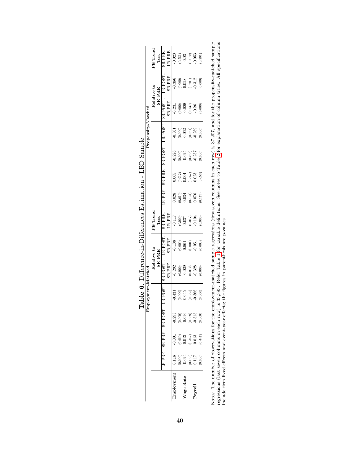|           |                                                                                   |                                                                     | e<br>E                                                     |                       |                      |                                                             |                                       |                       |                    |                       | Propensity-Matche    |                                  |                       |                                                                     |
|-----------|-----------------------------------------------------------------------------------|---------------------------------------------------------------------|------------------------------------------------------------|-----------------------|----------------------|-------------------------------------------------------------|---------------------------------------|-----------------------|--------------------|-----------------------|----------------------|----------------------------------|-----------------------|---------------------------------------------------------------------|
|           |                                                                                   |                                                                     |                                                            |                       |                      |                                                             |                                       |                       |                    |                       |                      |                                  |                       |                                                                     |
|           |                                                                                   |                                                                     |                                                            |                       |                      | elative to                                                  | PE Trend                              |                       |                    |                       |                      | lelative to                      |                       | PE Trend                                                            |
|           |                                                                                   |                                                                     |                                                            |                       |                      | <b>SR_PRE</b>                                               | Test                                  |                       |                    |                       |                      | <b>SR_PRE</b>                    |                       | <b>Test</b>                                                         |
|           |                                                                                   | R_PRE SR_PRE SR_POST                                                |                                                            | R_POS.                | RPOST-               | RPOST-                                                      | <b>RPRE-</b>                          | R_PRE                 | SR_PRE             | <b>SRPOST</b>         | R POS.               | RPOST-                           | RPOST                 | R.PRE-                                                              |
|           |                                                                                   |                                                                     |                                                            |                       | <b>SRPRE</b>         | <b>SRPRE</b>                                                | $\frac{\text{L}\text{R-PRE}}{-0.117}$ |                       |                    |                       |                      | <b>SR_PRE</b>                    | <b>SR_PRE</b>         | $\ensuremath{\mathsf{L}\text{R}}\xspace\text{PRE}$                  |
| mployment | 0.116                                                                             | $-0.001$                                                            |                                                            | 0.431                 | 0.292                | 0.138                                                       |                                       | 0.028                 | 0.005              | 0.226                 | 0.361                | 0.231                            | $-0.366$              | 0.023                                                               |
|           |                                                                                   |                                                                     |                                                            | 0.0000                |                      | $0.000$<br>$0.061$                                          | $0.000$<br>$0.037$                    |                       | $0.912$<br>$0.004$ | $0.0000$<br>$0.025$   | 0.062                |                                  | $0.000^{\circ}$       |                                                                     |
| Vage Rate | $\begin{array}{c} 0.000 \\ 0.024 \\ 0.165 \\ 0.117 \\ 0.000 \\ 0.000 \end{array}$ | $\begin{array}{c} (0.960) \\ 0.013 \\ (0.352) \\ 0.013 \end{array}$ | $-0.293$<br>$(0.000)$<br>$-0.016$<br>$(0.368)$<br>$-0.315$ |                       | $0.000$<br>$0.029$   |                                                             |                                       | $0.610$<br>$0.034$    |                    |                       |                      | 0.000<br>0.029<br>0.137)<br>0.26 | 0.058                 | $\begin{array}{c} (0.581) \\ -0.03 \\ (0.072) \\ 0.053 \end{array}$ |
|           |                                                                                   |                                                                     |                                                            | $\frac{0.085}{0.366}$ |                      |                                                             |                                       | $\frac{0.131}{0.076}$ | 0.857)             | $\frac{0.263}{0.237}$ |                      |                                  | $\frac{0.701}{0.312}$ |                                                                     |
| Payroll   |                                                                                   |                                                                     |                                                            |                       | $(0.012)$<br>$0.328$ | $\begin{array}{c} (0.001) \\ -0.051 \\ (0.000) \end{array}$ | (2100, 0)                             |                       | 0.023              |                       | $(0.031)$<br>$0.289$ |                                  |                       |                                                                     |
|           |                                                                                   | (744.0, 0.447)                                                      | (0.000)                                                    | 0.000                 | (0.000)              |                                                             | 0.000                                 | 0.174                 | 0.653              | 0.000                 | 0.000                | 0.000                            | 0.000                 | 0.201                                                               |
|           |                                                                                   |                                                                     |                                                            |                       |                      |                                                             |                                       |                       |                    |                       |                      |                                  |                       |                                                                     |

| I<br>Í<br>$\frac{1}{2}$<br>$\frac{1}{2}$                                                        | l |
|-------------------------------------------------------------------------------------------------|---|
| $\frac{1}{1}$<br>l<br>ı                                                                         |   |
| ١<br>$2 - 7 - 7$<br>I<br>ļ                                                                      |   |
| こくらく<br>ļ<br>;<br>;<br>;<br>í<br>š.<br>Herenceur-<br>$\mathbf{I}$<br>I<br>;<br>;<br>;<br>۶<br>م |   |
| ،<br>م                                                                                          |   |
| $\frac{1}{2}$<br>ו<br>ו<br>ĺ<br>l                                                               |   |

Notes: The number of observations for the employment-matched sample regressions (first seven columns in each row) is  $37,207$ , and for the propensity-matched sample regressions (last seven columns in each row) is  $33,393$ Notes: The number of observations for the employment-matched sample regressions (first seven columns in each row) is 37,207, and for the propensity-matched sample regressions (last seven columns in each row) is 33,393. Refer Table [1](#page-37-0) for variable definitions. See notes to Table [2](#page-38-0) for explanation of column titles. All specifications include firm fixed effects and event-year effects; the figures in parenthesis are p-values.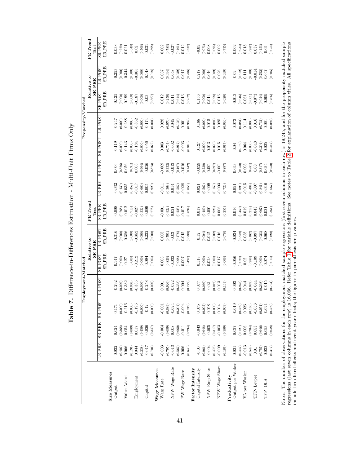| ו<br>ו                                                              |
|---------------------------------------------------------------------|
| i<br>j                                                              |
| $\begin{array}{c} \n\cdot \\ \cdot \\ \cdot\n\end{array}$<br>I<br>ı |
| ı<br>$\frac{1}{2}$                                                  |
| Ì<br>)<br>I<br>؟<br>أ<br>š.<br>$\vdots$                             |
| I<br>l                                                              |

<span id="page-42-0"></span>

|                   |                                                                                                                                                                                         |                                |                                                 | Employment-Matched                             |                                                |                              |                                   |                      |                                                 |                                                             | Propensity-Matched          |                                                 |                                           |                      |
|-------------------|-----------------------------------------------------------------------------------------------------------------------------------------------------------------------------------------|--------------------------------|-------------------------------------------------|------------------------------------------------|------------------------------------------------|------------------------------|-----------------------------------|----------------------|-------------------------------------------------|-------------------------------------------------------------|-----------------------------|-------------------------------------------------|-------------------------------------------|----------------------|
|                   |                                                                                                                                                                                         |                                |                                                 |                                                |                                                | Relative to<br><b>SR_PRE</b> | $\overline{\rm PE}$ Trend<br>Test |                      |                                                 |                                                             |                             |                                                 | Relative to<br><b>SR_PRE</b>              | PE Trend<br>Test     |
|                   | <b>IRPRE</b>                                                                                                                                                                            | <b>SR_PRE</b>                  | <b>SRPOST</b>                                   | <b>LRPOST</b>                                  | <b>SR_POST</b>                                 | LR POST                      | <b>SR_PRE</b>                     | <b>LR_PRE</b>        | <b>SRPRE</b>                                    | SR_POST                                                     | LR_POST                     | <b>SRPOST</b>                                   | LR_POST-                                  | SR_PRE               |
|                   |                                                                                                                                                                                         |                                |                                                 |                                                | $SR-PRE$                                       | <b>SR_PRE</b>                | <b>LR_PRE</b>                     |                      |                                                 |                                                             |                             | <b>SR_PRE</b>                                   | <b>SRPRE</b>                              | <b>LR_PRE</b>        |
| Size Measures     |                                                                                                                                                                                         |                                |                                                 |                                                |                                                |                              |                                   |                      |                                                 |                                                             |                             |                                                 |                                           |                      |
| Output            | 0.032                                                                                                                                                                                   | 0.024                          | 0.171                                           | 0.292                                          | 0.147                                          | 0.316                        | 0.008                             | $-0.032$             | 0.006                                           | 0.119                                                       | 0.247                       | 0.125                                           | $-0.253$<br>$(0.000)$                     | 0.38                 |
|                   | $\begin{array}{c} (0.407) \\ 0.066 \end{array}$                                                                                                                                         | $(0.368)$<br>$0.054$           | $(0.000)$                                       | $(0.000)$                                      | (0.000)                                        | (0.000)                      | (0.768)                           | (0.430)              | $(0.826)$<br>$0.056$                            | $(0.000)$<br>$-0.143$                                       | (0.000)                     |                                                 |                                           |                      |
| Value Added       |                                                                                                                                                                                         |                                | $-0.216$<br>$(0.000)$<br>$-0.195$               | $-0.332$                                       | $-0.27$                                        | $-0.386$                     | $-0.012$                          | 0.035                |                                                 |                                                             | $-0.288$                    | (0.000)                                         | $-0.344$                                  | $(0.229)$<br>0.021   |
|                   |                                                                                                                                                                                         |                                |                                                 | (0.000)                                        | $(0.000)$                                      | (0.000)                      | $(0.716)$<br>$-0.027$             |                      |                                                 |                                                             | $(0.000)$<br>$-0.362$       |                                                 |                                           | (0.540)              |
| Employment        | $\begin{array}{c} (0.134) \\ 0.044 \\ (0.238) \\ (0.239) \\ -0.017 \end{array}$                                                                                                         | $^{710\cdot0}$ (680            |                                                 | $-0.335$                                       | $-0.212$                                       | $-0.352$                     |                                   | $(0.459)$<br>-0.017  | $\begin{array}{c} (0.091) \\ 0.003 \end{array}$ | $(0.000)$<br>$-0.184$                                       |                             | $(0.000)$<br>(0.000)                            | $(0.000)$<br>$-0.365$                     | $0.02\,$             |
|                   |                                                                                                                                                                                         | $(0.459)$<br>$-0.026$          | $(0.000)$                                       | $(0.000)$<br>$-0.258$                          | (0.000)                                        | (0.000)                      | (0.332)                           | $(0.660)$<br>$0.005$ | (0.904)                                         | $(0.000)$<br>$-0.056$                                       | $(0.000)$<br>$-0.174$       | $(0.000)$<br>$-0.03$                            | (0.000)                                   | (0.506)              |
| Capital           |                                                                                                                                                                                         |                                | $-0.12$                                         |                                                |                                                | $-0.232$                     | $-0.009$                          |                      | $-0.026$                                        |                                                             |                             |                                                 | $-0.148$                                  | $-0.031$             |
|                   | (0.704)                                                                                                                                                                                 | $(0.347)$                      | $(0.000)$                                       | (0.000)                                        | (0.003)                                        | (0.000)                      | (0.778)                           | (0.920)              | (0.373)                                         | (0.072)                                                     | (0.004)                     | (0.367)                                         | (0.018)                                   | (0.398)              |
| Wage Measures     |                                                                                                                                                                                         |                                |                                                 |                                                |                                                |                              |                                   |                      |                                                 |                                                             |                             |                                                 |                                           |                      |
| Wage Rate         | $-0.003$                                                                                                                                                                                | $-0.004$                       | $-0.001$                                        | 0.001                                          | 0.003                                          | $0.005$                      | $-0.001$                          | $-0.011$             | $-0.009$                                        | 0.003                                                       | 0.028                       | 0.012                                           | 0.037                                     | $0.002\,$            |
|                   | (0.795)                                                                                                                                                                                 |                                | $(0.889)$<br>$-0.024$                           | (0.920)                                        | (0.826)                                        | (0.701)                      | (0.922)                           | (0.363)              | (0.332)                                         | (0.764)                                                     | (0.070)                     | $\left( 0.256\right)$ $\left( 0.011\right)$     | (0.014)                                   | (0.783)              |
| NPW Wage Rate     | $-0.013$                                                                                                                                                                                | $_{(0.689)}\space_{0.008}$     |                                                 | $-0.022$                                       | $-0.032$                                       | $-0.03$                      | 0.021                             | 0.014                | $-0.013$                                        | $-0.002$                                                    | 0.045                       |                                                 | $0.058\,$                                 | $-0.027$             |
|                   |                                                                                                                                                                                         |                                |                                                 | (0.358)                                        | (0.068)                                        | (0.178)                      | (0.225)                           | (0.582)              | (0.497)                                         | (0.912)                                                     | (0.136)                     | $\begin{array}{c} (0.614) \\ 0.013 \end{array}$ | (0.039)                                   | (0.161)              |
| PW Wage Rate      | $\left( 0.562\right)$ $\qquad$ $\qquad$ $\qquad$ $\qquad$ $\qquad$ $\qquad$ $\qquad$ $\qquad$ $\qquad$ $\qquad$ $\qquad$ $\qquad$ $\qquad$ $\qquad$ $\qquad$ $\qquad$ $\qquad$ $\qquad$ | $\left(0.660\right)$ - $0.011$ | $(0.201)$<br>$-0.004$                           | 0.004                                          | 0.007                                          | 0.015                        | $-0.017$                          | $-0.028$             | $-0.016$                                        | $-0.003$                                                    | 0.001                       |                                                 | $0.017\,$                                 | $0.012\,$            |
|                   | (0.646)                                                                                                                                                                                 | (0.294)                        | (0.749)                                         | (0.779)                                        | (0.492)                                        | (0.280)                      | (0.094)                           | (0.055)              | (0.142)                                         | $\left( 0.810\right)$                                       | (0.952)                     | (0.252)                                         | (0.286)                                   | (0.332)              |
| Factor Intensity  |                                                                                                                                                                                         |                                |                                                 |                                                |                                                |                              |                                   |                      |                                                 |                                                             |                             |                                                 |                                           |                      |
| Capital Intensity | $-0.06$                                                                                                                                                                                 | $-0.043$                       | $0.075\,$                                       | 170.0                                          | 0.118                                          | $0.12\,$                     | 0.017                             | 0.021                | 0.029                                           | 0.127                                                       | 0.188                       | 0.156                                           | $0.217$                                   | $-0.05$              |
|                   |                                                                                                                                                                                         |                                | $\begin{array}{c} (0.002) \\ 0.018 \end{array}$ | $\begin{array}{c} (0.060) \\ 0.02 \end{array}$ | $(0.000)$<br>$0.023$                           | (0.004)                      | $(0.489)$<br>$-0.001$             | (0.562)              | $(0.230)$<br>$-0.001$                           | $\left( \begin{matrix} 0.000 \\ 0.013 \end{matrix} \right)$ | $\left( 0.000\right)$ 0.015 | $(0.000)$<br>0.014                              | $\left(0.000\right)$ $\left(0.016\right)$ | $(0.073)$<br>0.008   |
| NPW Emp Share     | $\begin{array}{c} (0.064) \\ -0.004 \\ (0.478) \\ -0.009 \end{array}$                                                                                                                   | $(0.048)$<br>$-0.005$          |                                                 |                                                |                                                | 0.025                        |                                   |                      |                                                 |                                                             |                             |                                                 |                                           |                      |
|                   |                                                                                                                                                                                         | (0.317)                        | $(0.000)$<br>0.014                              | (0.012)                                        | $(0.000)$<br>0.017                             | (0.002)                      | $(0.926)$<br>0.006                | (0.159)              | (0.897)                                         | $(0.020)$<br>$0.015$                                        | $(0.091)$<br>$0.025$        | $(0.028)$<br>0.016                              | $(0.089)$<br>$0.026$                      | $(0.095)$<br>$0.002$ |
| NPW Wage Share    |                                                                                                                                                                                         |                                |                                                 | 0.013                                          |                                                | 0.016                        |                                   | $-0.003$             |                                                 |                                                             |                             |                                                 |                                           |                      |
|                   | (0.187)                                                                                                                                                                                 | (0.589)                        | (0.009)                                         | (0.131)                                        | (0.006)                                        | (0.078)                      | (0.255)                           | (0.726)              | (0.897)                                         | (0.017)                                                     | (0.010)                     | (0.026)                                         | (0.010)                                   | (0.735)              |
| Productivity      |                                                                                                                                                                                         |                                |                                                 |                                                |                                                |                              |                                   |                      |                                                 |                                                             |                             |                                                 |                                           |                      |
| Output per Worker | $0.021\,$                                                                                                                                                                               | 0.037                          | $-0.019$                                        | 0.003                                          | $-0.056$                                       | $-0.034$                     | 0.016                             | 0.051                | 0.053                                           | 0.04                                                        | 0.073                       | $-0.013$                                        | 0.02                                      | 0.002                |
|                   | (0.447)                                                                                                                                                                                 | $_{0.121)}^{(0.121)}$          | (0.459)                                         | (0.928)                                        | $\begin{array}{c} (0.029) \\ 0.02 \end{array}$ | (0.349)                      | (0.450)                           | (0.095)              | (0.050)                                         | (0.159)                                                     | (0.084)                     | $\begin{array}{c} (0.646) \\ 0.061 \end{array}$ | $\left( 0.612\right)$                     | (0.933)              |
| VA per Worker     | $-0.013$                                                                                                                                                                                |                                | $0.026\,$                                       | 0.044                                          |                                                | 0.038                        | 0.019                             | $-0.015$             | $\!0.003$                                       | 0.064                                                       | 0.114                       |                                                 | 0.111                                     | $0.018\,$            |
|                   | (0.549)                                                                                                                                                                                 | (0.704)                        | (0.136)                                         | (0.099)                                        | (0.288)                                        | (0.162)                      | (0.218)                           | (0.484)              | (0.881)                                         | (0.000)                                                     | (0.000)                     | $(0.001)$<br>-0.073                             | (0.000)                                   | (0.287)              |
| TFP-Levpet        | $\!0.01\!$                                                                                                                                                                              | 0.053                          | $-0.056$                                        | $-0.044$                                       | $-0.109$                                       | $760.0 -$                    | 0.043                             | $-0.007$             | $\rm 0.03$                                      | $-0.043$                                                    | $0.016\,$                   |                                                 | $-0.014$                                  | 0.037                |
|                   | $(0.757)$<br>0.032                                                                                                                                                                      | (0.046)                        | (0.054)                                         | (0.298)                                        | (0.000)                                        | (0.023)                      | (0.067)                           | (0.841)              | (0.317)                                         | $(0.204)$<br>$0.025$                                        | (0.734)                     | (0.024)                                         | (0.752)                                   | (0.153)              |
| TFP-OLS           |                                                                                                                                                                                         | 0.053                          | $-0.021$                                        | $-0.015$                                       | $-0.074$                                       | $-0.068$                     | 0.021                             | $-0.016$             | 0.034                                           |                                                             | 0.081                       | $-0.009$                                        | $0.047$                                   | $0.05\,$             |
|                   | (0.317)                                                                                                                                                                                 | (0.048)                        | (0.459)                                         | (0.734)                                        | (0.013)                                        | (0.120)                      | (0.361)                           | (0.667)              | (0.250)                                         | (0.447)                                                     | (0.097)                     | (0.766)                                         | (0.305)                                   | (0.054)              |
| í                 | j<br>$\ddot{\phantom{0}}$                                                                                                                                                               |                                | ł                                               |                                                |                                                |                              |                                   |                      |                                                 |                                                             |                             |                                                 |                                           |                      |

Notes: The number of observations for the employment-matched sample regressions (first seven columns in each row) is 19,245, and for the propensity-matched sample regressions (last seven columns in each row) is 16,066. Re Notes: The number of observations for the employment-matched sample regressions (first seven columns in each row) is 19,245, and for the propensity-matched sample regressions (last seven columns in each row) is 16,066. Refer Table [1](#page-37-0) for variable definitions. See notes to Table [2](#page-38-0) for explanation of column titles. All specifications include firm fixed effects and event-year effects; the figures in parenthesis are p-values.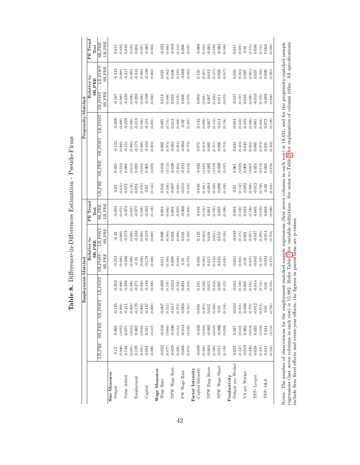| I<br>l<br>l<br>j<br>ı         |  |
|-------------------------------|--|
| $\vdots$<br>ı<br>֠<br>ı       |  |
| ì<br><sup>ع</sup> :<br>ı<br>l |  |
| ؟<br>أ<br>l<br>I<br>;<br>)    |  |
| )<br>}<br>j                   |  |

<span id="page-43-0"></span>

|                                                                                                                                                                       |                                                 |                                                 |                             | Employment-Matched |                          |                                          |                              |               |             |              | Propensity-Matched |                                                        |                         |                                |
|-----------------------------------------------------------------------------------------------------------------------------------------------------------------------|-------------------------------------------------|-------------------------------------------------|-----------------------------|--------------------|--------------------------|------------------------------------------|------------------------------|---------------|-------------|--------------|--------------------|--------------------------------------------------------|-------------------------|--------------------------------|
|                                                                                                                                                                       |                                                 |                                                 |                             |                    |                          | Relative to                              | PE Trend                     |               |             |              |                    |                                                        | Relative to             | PE Trend                       |
|                                                                                                                                                                       |                                                 |                                                 |                             |                    |                          | $SR$ PRE                                 | Test                         |               |             |              |                    |                                                        | $SR-PRE$                | Test                           |
|                                                                                                                                                                       | <b>IR PRE</b>                                   | <b>SR_PRE</b>                                   | <b>SRPOST</b>               | LRPOST             | <b>SR_PRE</b><br>SR_POST | <b>SR_PRE</b><br>LR POST                 | <b>LR_PRE</b><br>SR_PRE      | <b>LR_PRE</b> | SRAPRE      | <b>TSOdT</b> | LR_POST            | <b>SR_PRE</b><br><b>SRPOST</b>                         | <b>SRPRE</b><br>LR_POST | <b>LR_PRE</b><br><b>SR_PRE</b> |
| Size Measures                                                                                                                                                         |                                                 |                                                 |                             |                    |                          |                                          |                              |               |             |              |                    |                                                        |                         |                                |
| Output                                                                                                                                                                | 0.12                                            | $\rm 0.068$                                     | $-0.185$                    | $-0.262$           | $-0.253$                 | $-0.33$                                  | $-0.052$                     | 0.02          | $\,0.035\,$ | $-0.132$     | $-0.208$           | 0.167                                                  | $-0.243$                | 0.015                          |
|                                                                                                                                                                       | (0.006)                                         |                                                 | (0.000)                     | (0.000)            | (0.000)                  | (0.000)                                  | (0.072)                      | (0.631)       | 0.222       | (0.000)      | (0.000)            | 0.000                                                  | (0.000)                 | (0.624)                        |
| Value Added                                                                                                                                                           | 0.148                                           | $\begin{array}{c} (0.032) \\ 0.075 \end{array}$ | $-0.211$                    | $-0.298$           | $-0.286$                 | $-0.373$                                 | $-0.073$                     | 0.072         | 0.088       | 0.151        | $-0.229$           | $-0.239$                                               | $-0.317$                | 0.016                          |
|                                                                                                                                                                       |                                                 | $\left(0.024\right)$                            | $(0.000)$                   | (0.000)            | (0.000)                  | (0.000)                                  | (0.027)                      | (0.134)       | (0.015)     | (0.000)      | (0.000)            | (0.000)                                                | (0.000)                 | (0.633)                        |
| Employment                                                                                                                                                            | $\begin{array}{c} (0.001) \\ 0.139 \end{array}$ | $\!0.062$                                       | $-0.178$                    | $-0.271$           | $-0.24$                  | $-0.333$                                 | $-0.077$                     | 0.024         | 0.028       | $-0.175$     | $-0.313$           | $-0.203$                                               | $-0.341$                | 0.004                          |
|                                                                                                                                                                       | $\begin{array}{c} (0.001) \\ 0.084 \end{array}$ | $\left(0.036\right)$ $\left(0.031\right)$       | $(0.000)$                   | (0.000)            | (0.000)                  | (0.000)                                  | (0.008)                      | (0.535)       | (0.294)     | (0.000)      | (0.000)            | (0.000)                                                | (0.000)                 | (0.897)                        |
| Capital                                                                                                                                                               |                                                 |                                                 | $-0.147$                    | $-0.188$           | $-0.178$                 | $-0.219$                                 | 0.053                        | 0.07          | $0.005\,$   | $-0.104$     | $-0.181$           | $-0.109$                                               | $-0.186$                | $-0.065$                       |
|                                                                                                                                                                       | (0.080)                                         | (0.337)                                         | (0.000)                     | (0.000)            | (0.000)                  | (0.000)                                  | (0.128)                      | (0.134)       | (0.889)     | (0.002)      | (0.001)            | (0.002)                                                | (0.002)                 | (0.062)                        |
| Wage Measures                                                                                                                                                         |                                                 |                                                 |                             |                    |                          |                                          |                              |               |             |              |                    |                                                        |                         |                                |
| Wage Rate                                                                                                                                                             | $-0.022$<br>$(0.077)$<br>$-0.028$               | $-0.018$                                        | $-0.007$                    | $-0.009$           | $\rm 0.011$              | 0.009                                    | 0.004                        | 0.016         | $-0.016$    | 0.002        | 0.005              | $0.018\,$                                              | 0.021                   | $-0.032$                       |
|                                                                                                                                                                       |                                                 | $(0.066)$<br>$-0.026$                           | $\left(0.522\right)$ –0.017 | (0.535)            | (0.304)                  | (0.504)                                  | $(0.682)$<br>$0.002$         | (0.246)       | (0.112)     | (0.873)      | (0.741)            | (660.0)                                                | (0.462)                 | (0.966)                        |
| NPW Wage Rate                                                                                                                                                         |                                                 |                                                 |                             | $-0.023$           | 0.009                    | 0.003                                    |                              | $-0.007$      | $-0.026$    | $-0.001$     | 0.012              | 0.025                                                  | 0.038                   | $-0.019$                       |
|                                                                                                                                                                       | (0.208)                                         | (0.134)                                         | (0.373)                     | (0.358)            | (0.628)                  | (0.896)                                  | (0.923)                      | (0.803)       | (0.204)     | (0.952)      | (0.682)            | (0.235)                                                | (0.189)                 | (0.314)                        |
| PW Wage Rate                                                                                                                                                          |                                                 | $-0.014$                                        | $-0.004$                    | 0.004              | $0.01\,$                 | 0.018                                    | $-0.008$                     | $-0.018$      | $-0.012$    | $-0.004$     | $-0.02$            | 0.008                                                  | $-0.008$                | 0.006                          |
|                                                                                                                                                                       | (0.674)                                         | (0.230)                                         | (0.741)                     | (0.818)            | (0.379)                  | (0.240)                                  | (0.464)                      | (0.254)       | (0.332)     | (0.779)      | (0.267)            | (674.0)                                                | (0.649)                 | (0.637)                        |
| <b>Factor Intensity</b>                                                                                                                                               |                                                 |                                                 |                             |                    |                          |                                          |                              |               |             |              |                    |                                                        |                         |                                |
| Capital Intensity                                                                                                                                                     | $-0.038$                                        | $-0.022$                                        | 0.034                       | 0.101              | 0.056                    | 0.123                                    | 0.016                        | 0.046         | $-0.023$    | 0.071        | 0.132              | 0.094                                                  | 0.155                   | $-0.069$                       |
|                                                                                                                                                                       | $(0.289)$<br>$-0.004$                           | (0.368)                                         | (0.973)                     | (0.022)            | (0.064)                  | (0.004)                                  | $\left(0.541\right)$ $0.001$ | (0.201)       | (0.347)     | (0.012)      | (0.003)            | (0.001)                                                | (0.001)                 | (0.010)                        |
| NPW Emp Share                                                                                                                                                         |                                                 | $-0.003$                                        | 0.012                       | 0.015              | 0.015                    | 0.018                                    |                              | $-0.004$      | $-0.005$    | 0.002        | 0.007              | 0.007                                                  | 0.012                   | $-0.001$                       |
|                                                                                                                                                                       | $(0.569)$<br>$-0.011$                           | $\left( 0.610\right)$                           | (0.040)                     | (0.052)            | (0.012)                  | (0.021)                                  | $(0.797)$<br>0.005           | (0.569)       | (0.379)     | (0.757)      | (0.412)            | (0.256)                                                | $(0.177)$<br>0.023      | $(0.859)$<br>$-0.003$          |
| NPW Wage Share                                                                                                                                                        |                                                 | $-0.006$                                        | $0.01\,$                    | 0.007              | 0.016                    | 0.013                                    |                              | $-0.006$      | $-0.009$    | 0.002        | 0.014              | 0.011                                                  |                         |                                |
|                                                                                                                                                                       | (0.159)                                         | (0.298)                                         | (0.134)                     | (0.412)            | (0.021)                  | (0.126)                                  | (0.398)                      | (0.459)       | (0.107)     | (0.719)      | (0.156)            | (0.072)                                                | (0.017)                 | (0.508)                        |
| Productivity                                                                                                                                                          |                                                 |                                                 |                             |                    |                          |                                          |                              |               |             |              |                    |                                                        |                         |                                |
| Output per Worker                                                                                                                                                     | 0.023                                           | 0.027                                           | $-0.024$                    | $-0.021$           | 0.051                    | $-0.048$                                 | 0.004                        | 0.05          | 0.061       | 0.024        | 0.084              | 0.037                                                  | 0.023                   | $0.011\,$                      |
|                                                                                                                                                                       | (0.447)                                         | $(0.242)$<br>0.004                              | $(0.358)$<br>$-0.006$       | (0.569)            | (0.061)                  | (0.175)                                  | $_{0.848}^{(0.848)}$         | (0.142)       | (0.028)     | 0.424)       | (0.043)            | $(0.187)$<br>0.035                                     | (0.563)                 | (0.607)                        |
| VA per Worker                                                                                                                                                         |                                                 |                                                 |                             | 0.005              | $-0.01$                  | $0.001\,$                                |                              | $-0.002$      | $0.008$     | 0.043        | $0.105\,$          |                                                        | 0.007                   | $0.01\,$                       |
|                                                                                                                                                                       | $(0.430)$<br>$0.028$                            | $\left( 0.818\right)$                           | (0.779)                     | (0.841)            | (0.657)                  | (0.957)                                  | (0.190)                      | (0.920)       | (0.667)     | (0.022)      | (0.000)            | (0.086)                                                | (0.001)                 | (0.551)                        |
| TFP-Levpet                                                                                                                                                            |                                                 | 0.033                                           | $-0.012$                    | $-0.014$           | $-0.045$                 | $-0.047$                                 | $0.005$                      | $-0.012$      | 0.024       | 0.005        | 0.061              | $-0.019$                                               | 0.037                   | 0.036                          |
|                                                                                                                                                                       | $(0.447)$<br>0.041                              | $\begin{array}{c} (0.238) \\ 0.044 \end{array}$ | (0.674)                     | (0.741)            | (0.167)                  | (0.290)                                  | $^{(0.843)}_{0.003}$         | (0.749)       | (0.412)     | (0.873)      | (0.204)            | (0.555)                                                | (0.436)                 | (0.151)                        |
| TFP-OLS                                                                                                                                                               |                                                 |                                                 | 0.01                        | 0.03               | 0.034                    | $-0.014$                                 |                              | $-0.03$       | 0.033       | 0.031        | 0.072              | $-0.002$                                               | 0.039                   | 0.063                          |
|                                                                                                                                                                       | (0.242)                                         | (0.116)                                         | (0.726)                     | (0.478)            | (0.275)                  | (0.753)                                  | (0.890)                      | (0.418)       | (0.276)     | (0.332)      | (0.129)            | (9.948)                                                | (0.393)                 | (0.009)                        |
| Notes: The number of observations for the employment-matched sample regressions (first seven columns in each row) is $18,431$ , and for the propensity-matched sample |                                                 |                                                 |                             |                    |                          |                                          |                              |               |             |              |                    |                                                        |                         |                                |
| regressions (last seven columns in each row) is 1                                                                                                                     |                                                 |                                                 |                             | 5,882.             |                          | Refer Table 1 for variable definitions.  |                              |               |             |              |                    | See notes to Table 2 for explanation of column titles. |                         | All specifications             |
| include firm fixed effects and event-year effects;                                                                                                                    |                                                 |                                                 |                             |                    |                          | the figures in parenthesis are p-values. |                              |               |             |              |                    |                                                        |                         |                                |
|                                                                                                                                                                       |                                                 |                                                 |                             |                    |                          |                                          |                              |               |             |              |                    |                                                        |                         |                                |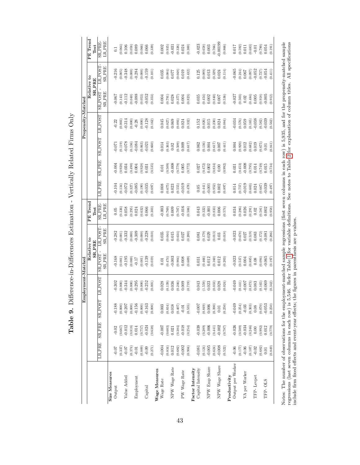| i                                                                                                                                             |
|-----------------------------------------------------------------------------------------------------------------------------------------------|
| i<br>$\overline{\phantom{a}}$<br>i                                                                                                            |
| .<br> <br>                                                                                                                                    |
| ı                                                                                                                                             |
| ׇ֘֒                                                                                                                                           |
| i<br>I<br>ŗ                                                                                                                                   |
| ֧֖֧ׅ֧ׅ֧ׅ֧ׅ֧ׅ֧֧ׅ֧ׅ֧֚֚֚֚֚֚֚֚֚֚֚֚֚֚֚֚֚֚֚֚֚֚֚֚֚֚֚֚֚֬֝֜֝֜֝֜֜֜֝֬֜֜֝<br>ì<br>š.<br>$\frac{1}{1}$<br>$\begin{array}{c} \xi \\ \xi \\ \xi \end{array}$ |
|                                                                                                                                               |
| $\frac{1}{4}$<br>I<br>j<br>I<br>۱                                                                                                             |

<span id="page-44-0"></span>

|                    | PE Trend                     | Test          | SR_PRE-<br><b>LR_PRE</b>       | $\overline{C}$          | 0.064     | 0.106                                           | (0.058)   | 0.089                        | (0.066)   | 0.066                                                       | (0.339)   |               | $0.002\,$                                               | (0.935)              | $-0.031$      | (0.326) | 0.024               | (0.300)  |                  | $-0.023$          | (0.658)                                         | $\,0.003$                                                                | $(0.766)$<br>$-0.00199$                         |                | $\left( 0.866\right)$                                      |              | 0.017             | $\left(0.592\right)$ $\left(0.592\right)$       |               | (0.683)            | $-0.01$    | (0.790)                                         | 0.054    | (0.191) |
|--------------------|------------------------------|---------------|--------------------------------|-------------------------|-----------|-------------------------------------------------|-----------|------------------------------|-----------|-------------------------------------------------------------|-----------|---------------|---------------------------------------------------------|----------------------|---------------|---------|---------------------|----------|------------------|-------------------|-------------------------------------------------|--------------------------------------------------------------------------|-------------------------------------------------|----------------|------------------------------------------------------------|--------------|-------------------|-------------------------------------------------|---------------|--------------------|------------|-------------------------------------------------|----------|---------|
|                    | Relative to                  | <b>SR_PRE</b> | LR_POST<br><b>SRPRE</b>        | $-0.216$                | (0.005)   | $-0.348$                                        | (0.000)   | $-0.284$                     | $(0.000)$ | $-0.159$                                                    | (0.101)   |               | 0.035                                                   | (0.084)              | 0.077         | (0.048) | 0.019               | (0.432)  |                  | 0.125             | (0.089)                                         | $0.013\,$                                                                | $(0.329)$<br>$0.024$                            |                | (0.114)                                                    |              | $-0.065$          | $\begin{array}{c} (0.244) \\ 0.067 \end{array}$ |               | (0.097)            | $-0.052$   | (0.727)                                         | $-0.054$ | (0.411) |
|                    |                              |               | <b>SRPOST</b><br><b>SR_PRE</b> | $-0.067$                |           | $(0.143)$<br>$-0.112$                           | (0.040)   | $-0.088$                     |           | $(0.053)$<br>$-0.052$                                       | (0.353)   |               | 0.004                                                   | $(0.791)$<br>$0.028$ |               | (0.377) | $0.004$             | (0.823)  |                  | 0.035             | $(0.454)$<br>0.002                              |                                                                          | $(0.840)$<br>0.007                              |                | (0.536)                                                    |              | $-0.027$          | $\begin{array}{c} (0.503) \\ 0.02 \end{array}$  |               | $(0.484)$<br>0.005 |            | $(0.918)$<br>0.005                              |          | (0.912) |
| Propensity-Matched |                              |               | <b>LR_POST</b>                 | $-0.22$                 | (0.003)   | $-0.314$                                        | (0.000)   | $-0.28$                      | $(0.000)$ | $-0.128$                                                    | (0.162)   |               | 0.045                                                   | (0.027)              | 0.069         | (0.093) | 0.024               | (0.332)  |                  | 0.152             | (0.026)                                         | $0.015\,$                                                                | $(0.230)$<br>$0.024$                            |                | (0.084)                                                    |              | $-0.034$          | $(0.576)$<br>0.059                              |               | (0.165)            | $-0.038$   | (0.582)                                         | $-0.039$ | (0.562) |
|                    |                              |               | <b>SR_POST</b>                 | 0.071                   | (0.119)   | $-0.078$                                        |           | $(0.136)$<br>$-0.084$        |           | $(0.063)$<br>$-0.021$                                       | (0.660)   |               | 0.014                                                   | (0.363)              | 0.02          | (0.509) | 0.009               | (0.617)  |                  | 0.062             | (0.136)                                         | 0.004                                                                    | $\begin{array}{c} (0.617) \\ 0.007 \end{array}$ |                | (0.441)                                                    |              | 0.004             | (0.920)                                         | 0.012         | (0.682)            | 0.019      | (0.675)                                         | $0.01\,$ | (0.841) |
|                    |                              |               | <b>SR_PRE</b>                  | $-0.004$                |           | $\begin{array}{c} (0.928) \\ 0.034 \end{array}$ | (0.490)   | 0.004                        |           | $\left( 0.928\right)$ $\left( 0.031\right)$                 | (0.535)   |               | $\!0.01\!$                                              | (0.509)              | $-0.008$      | (0.779) | $0.005\,$           | (0.772)  |                  | 0.027             | (0.472)                                         | 0.002                                                                    | (0.834)                                         | $0.00\,$       | (0.992)                                                    |              | 0.031             | (0.453)                                         | $-0.008$      | (0.795)            | $0.014\,$  | (0.749)                                         | 0.015    | (0.734) |
|                    |                              |               | <b>LR_PRE</b>                  | 0.104                   | (0.134)   | $-0.072$                                        | (0.327)   | $-0.085$                     | (0.190)   | $-0.035$                                                    | (0.697)   |               | 0.008                                                   | $(0.675)$<br>0.023   |               | (0.555) | $-0.019$            | (674, 0) |                  | 0.05              | (0.441)                                         | $-0.001$                                                                 | $^{(0.952)}_{0.002}$                            |                | (0.897)                                                    |              | 0.014             | (0.757)                                         | $-0.019$      | (0.603)            | 0.024      | (0.667)                                         | $-0.039$ | (0.497) |
|                    | PE Trend                     | Test          | SR_PRE-<br>LR_PRE              | 0.05                    |           | $0.336$<br>$0.058$                              |           | $(0.295)$<br>$0.024$         | (0.632)   | 0.066                                                       | (0.303)   |               | $-0.003$<br>$(0.769)$<br>$0.009$                        |                      |               | (0.707) | $-0.016$            | (0.506)  |                  | 0.043             | $(0.322)$<br>$-0.001$                           |                                                                          | $_{\rm 0.833)}\atop \rm 0.006$                  |                | (0.574)                                                    |              | 0.034             | $(0.286)$<br>$0.026$                            |               | (0.291)            | $0.02\,$   | $_{0.581)}$<br>0.002                            |          | (0.958) |
|                    |                              |               | <b>SR_PRE</b><br>LRPOST        | $-0.282$                | $(0.001)$ | $-0.332$                                        | (0.000)   | $-0.309$                     | (0.000)   | $-0.228$                                                    | (0.010)   |               | 0.035                                                   | (0.044)              | 0.015         | (0.634) | 0.027               | (0.200)  |                  | 0.081             | (0.179)                                         | 0.029                                                                    | (0.013)                                         | 0.03           | (0.018)                                                    |              | $-0.023$          | (0.678)                                         | 0.027         | (0.519)            | 0.083      | (0.172)                                         | 0.081    | (0.286) |
|                    | Relative to<br><b>SR_PRE</b> |               | <b>SRPOST</b><br><b>SR_PRE</b> | $-0.168$                | (0.001)   | $-0.195$                                        | (0.000)   | $-0.17$                      | (0.001)   | $-0.139$                                                    | (0.019)   |               | $\!0.01\!$                                              | (0.474)              | $-0.003$      | (0.904) | $0.008\,$           | (0.609)  |                  | 0.031             | (0.466)                                         | 0.012                                                                    | $(0.160)$<br>$0.012$                            |                | (0.203)                                                    |              | $-0.023$          | $\left(0.537\right)$ $0.004$                    |               | (0.885)            | $0.08\,$   | (0.094)                                         | $-0.065$ | (0.197) |
| Employment-Matched |                              |               | <b>LRPOST</b>                  | $-0.302$                | (0.000)   | $-0.344$                                        | (0.000)   | $-0.295$                     | (0.000)   | $-0.252$                                                    | (0.001)   |               | 0.028                                                   | (0.139)              | 0.036         | (0.246) | 0.009               | (0.719)  |                  | 0.043             | (1.559)                                         | 0.023                                                                    | (0.033)                                         | 0.028          | (0.024)                                                    |              | $-0.049$          | (0.441)                                         | $-0.007$      | (0.873)            | 0.083      | (0.165)                                         | $-0.069$ | (0.342) |
|                    |                              |               | <b>SRPOST</b>                  | $-0.188$                |           | $(0.000)$<br>$-0.207$                           | $(0.000)$ | $-0.156$                     |           | $\begin{array}{c} (0.000) \\ -0.163 \\ (0.000) \end{array}$ |           |               | $\begin{array}{c} 0.003 \\ 0.834) \\ 0.018 \end{array}$ |                      |               | (0.407) | $-0.01$             | (0.535)  |                  | $-0.007$          | $\begin{array}{c} (0.849) \\ 0.006 \end{array}$ |                                                                          | $\left( 0.390\right)$ $\left( 0.01\right)$      |                | (0.250)                                                    |              | $-0.049$          | (0.254)                                         | $-0.03$       | (0.303)            | $0.08\,$   | (0.070)                                         | $-0.053$ | (0.250) |
|                    |                              |               | <b>SR_PRE</b>                  | $-0.02$                 | (0.667)   | $-0.012$                                        |           | $_{\rm 0.014}^{(\rm 0.818)}$ |           | $\begin{array}{c} (0.757) \\ -0.024 \\ 0.638) \end{array}$  |           |               | $-0.007$<br>$(0.603)$<br>$0.021$                        |                      |               |         | $(0.384)$<br>-0.018 | (0.254)  |                  | $-0.038$          | $(0.289)$<br>-0.006                             |                                                                          |                                                 |                | $\begin{array}{c} (0.441) \\ -0.002 \\ 0.787) \end{array}$ |              | $-0.026$          | $(0.509)$<br>-0.034                             |               | (0.246)            | $0.00\,$   | $\begin{array}{c} (0.992) \\ 0.012 \end{array}$ |          | (0.779) |
|                    |                              |               | <b>LR_PRE</b>                  | $-0.07$                 | (0.337)   | $-0.07$                                         |           | $\stackrel{(0.374)}{0.01}$   | (0.889)   | $-0.09$                                                     | $(0.271)$ |               | $-0.004$<br>$(0.834)$<br>$0.012$                        |                      |               | (0.682) | $-0.002$            | (0.904)  |                  | $-0.081$          |                                                 | $\begin{array}{c} (0.124) \\ -0.005 \\ (0.624) \\ -0.008 \\ \end{array}$ |                                                 |                |                                                            |              | $-0.06$           | $\begin{array}{c} (0.177) \\ -0.06 \end{array}$ |               | (0.107)            | $-0.02$    | $\begin{array}{c} (0.682) \\ 0.01 \end{array}$  |          | (0.849) |
|                    |                              |               |                                | Size Measures<br>Output |           | Value Added                                     |           | Employment                   |           | Capital                                                     |           | Wage Measures | Wage Rate                                               |                      | NPW Wage Rate |         | PW Wage Rate        |          | Factor Intensity | Capital Intensity |                                                 | NPW Emp Share                                                            |                                                 | NPW Wage Share |                                                            | Productivity | Output per Worker |                                                 | VA per Worker |                    | TFP-Levpet |                                                 | TFP-OLS  |         |

Notes: The number of observations for the employment-matched sample regressions (first seven columns in each row) is 5,935, and for the propensity-matched sample regressions (last seven columns in each row) is 5,546. Refe Notes: The number of observations for the employment-matched sample regressions (first seven columns in each row) is 5,935, and for the propensity-matched sample regressions (last seven columns in each row) is 5,546. Refer Table [1](#page-37-0) for variable definitions. See notes to Table [2](#page-38-0) for explanation of column titles. All specifications include firm fixed effects and event-year effects; the figures in parenthesis are p-values.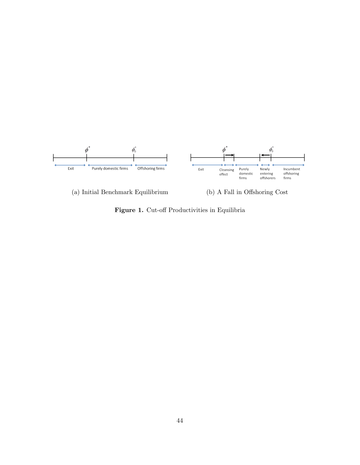

(a) Initial Benchmark Equilibrium (b) A Fall in Offshoring Cost

<span id="page-45-0"></span>Figure 1. Cut-off Productivities in Equilibria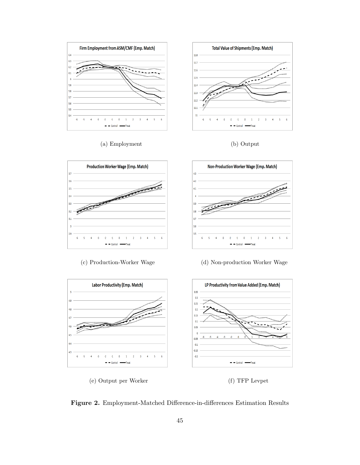

(a) Employment (b) Output





 $\overline{\mathbf{S}}$  $\overline{6}$ 



(c) Production-Worker Wage (d) Non-production Worker Wage



<span id="page-46-0"></span>Figure 2. Employment-Matched Difference-in-differences Estimation Results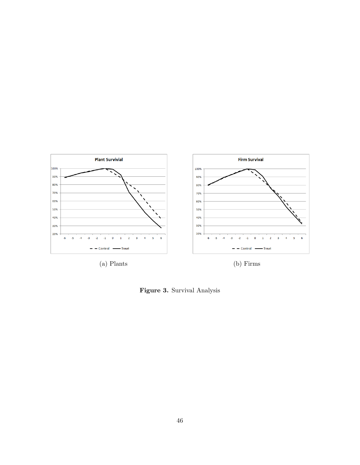

<span id="page-47-0"></span>Figure 3. Survival Analysis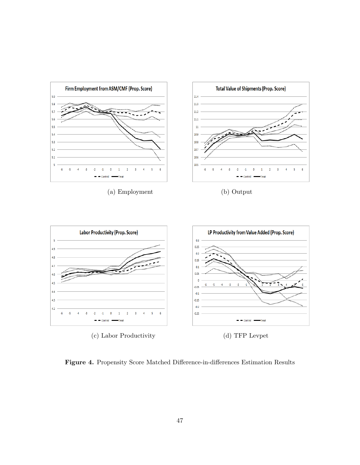

<span id="page-48-0"></span>Figure 4. Propensity Score Matched Difference-in-differences Estimation Results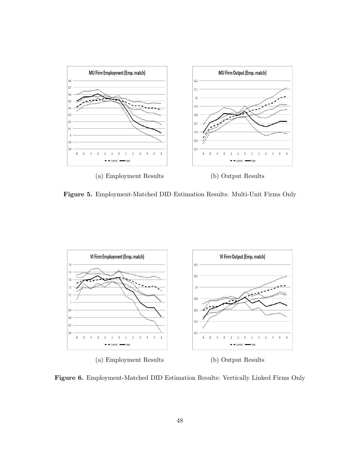

<span id="page-49-0"></span>Figure 5. Employment-Matched DID Estimation Results: Multi-Unit Firms Only



<span id="page-49-1"></span>Figure 6. Employment-Matched DID Estimation Results: Vertically Linked Firms Only